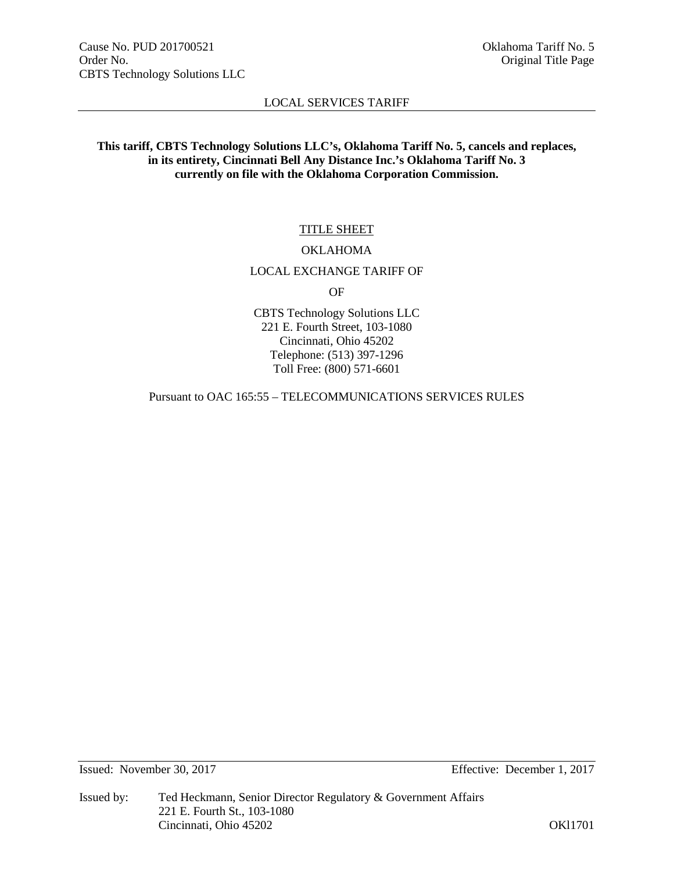# **This tariff, CBTS Technology Solutions LLC's, Oklahoma Tariff No. 5, cancels and replaces, in its entirety, Cincinnati Bell Any Distance Inc.'s Oklahoma Tariff No. 3 currently on file with the Oklahoma Corporation Commission.**

# TITLE SHEET

#### OKLAHOMA

## LOCAL EXCHANGE TARIFF OF

OF

CBTS Technology Solutions LLC 221 E. Fourth Street, 103-1080 Cincinnati, Ohio 45202 Telephone: (513) 397-1296 Toll Free: (800) 571-6601

Pursuant to OAC 165:55 – TELECOMMUNICATIONS SERVICES RULES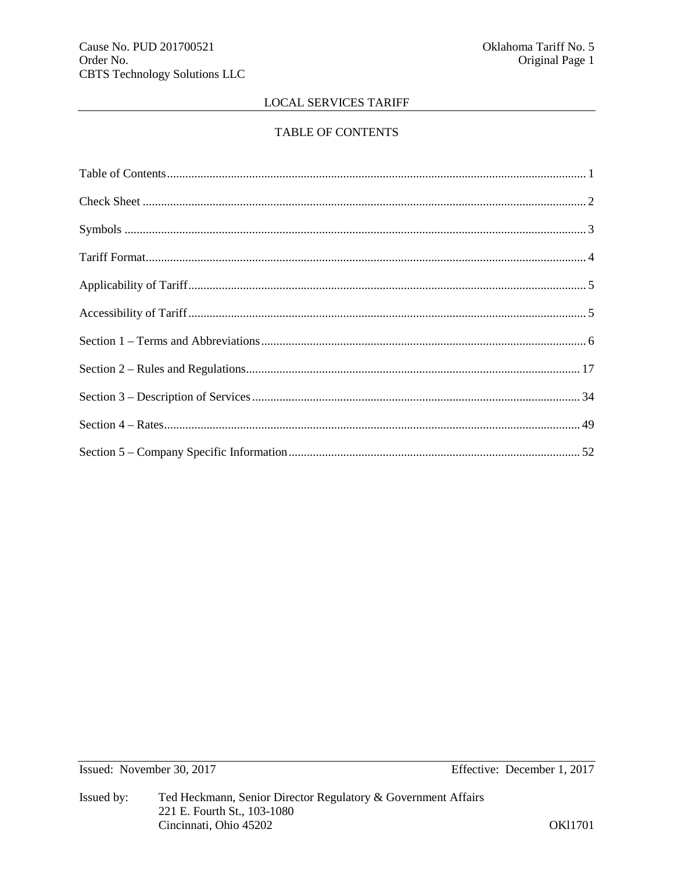# TABLE OF CONTENTS

Issued: November 30, 2017

Effective: December 1, 2017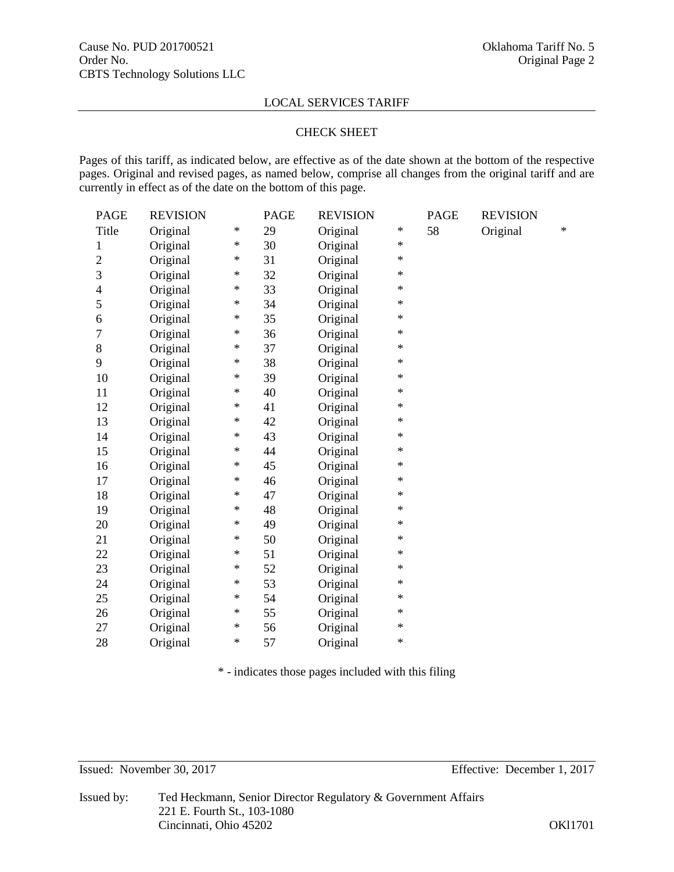#### CHECK SHEET

Pages of this tariff, as indicated below, are effective as of the date shown at the bottom of the respective pages. Original and revised pages, as named below, comprise all changes from the original tariff and are currently in effect as of the date on the bottom of this page.

| <b>PAGE</b>    | <b>REVISION</b> |        | <b>PAGE</b> | <b>REVISION</b> |        | <b>PAGE</b> | <b>REVISION</b> |        |
|----------------|-----------------|--------|-------------|-----------------|--------|-------------|-----------------|--------|
| Title          | Original        | $\ast$ | 29          | Original        | ∗      | 58          | Original        | $\ast$ |
| 1              | Original        | ∗      | 30          | Original        | ∗      |             |                 |        |
| $\overline{2}$ | Original        | ∗      | 31          | Original        | $\ast$ |             |                 |        |
| 3              | Original        | $\ast$ | 32          | Original        | $\ast$ |             |                 |        |
| $\overline{4}$ | Original        | ∗      | 33          | Original        | ∗      |             |                 |        |
| 5              | Original        | $\ast$ | 34          | Original        | ∗      |             |                 |        |
| 6              | Original        | ∗      | 35          | Original        | ∗      |             |                 |        |
| 7              | Original        | ∗      | 36          | Original        | $\ast$ |             |                 |        |
| 8              | Original        | ∗      | 37          | Original        | ∗      |             |                 |        |
| 9              | Original        | ∗      | 38          | Original        | ∗      |             |                 |        |
| 10             | Original        | ∗      | 39          | Original        | $\ast$ |             |                 |        |
| 11             | Original        | ∗      | 40          | Original        | ∗      |             |                 |        |
| 12             | Original        | ∗      | 41          | Original        | $\ast$ |             |                 |        |
| 13             | Original        | ∗      | 42          | Original        | $\ast$ |             |                 |        |
| 14             | Original        | ∗      | 43          | Original        | ∗      |             |                 |        |
| 15             | Original        | ∗      | 44          | Original        | ∗      |             |                 |        |
| 16             | Original        | ∗      | 45          | Original        | ∗      |             |                 |        |
| 17             | Original        | ∗      | 46          | Original        | $\ast$ |             |                 |        |
| 18             | Original        | ∗      | 47          | Original        | $\ast$ |             |                 |        |
| 19             | Original        | ∗      | 48          | Original        | ∗      |             |                 |        |
| 20             | Original        | ∗      | 49          | Original        | $\ast$ |             |                 |        |
| 21             | Original        | ∗      | 50          | Original        | ∗      |             |                 |        |
| 22             | Original        | ∗      | 51          | Original        | $\ast$ |             |                 |        |
| 23             | Original        | ∗      | 52          | Original        | $\ast$ |             |                 |        |
| 24             | Original        | ∗      | 53          | Original        | ∗      |             |                 |        |
| 25             | Original        | $\ast$ | 54          | Original        | ∗      |             |                 |        |
| 26             | Original        | ∗      | 55          | Original        | ∗      |             |                 |        |
| 27             | Original        | ∗      | 56          | Original        | $\ast$ |             |                 |        |
| 28             | Original        | ∗      | 57          | Original        | $\ast$ |             |                 |        |

\* - indicates those pages included with this filing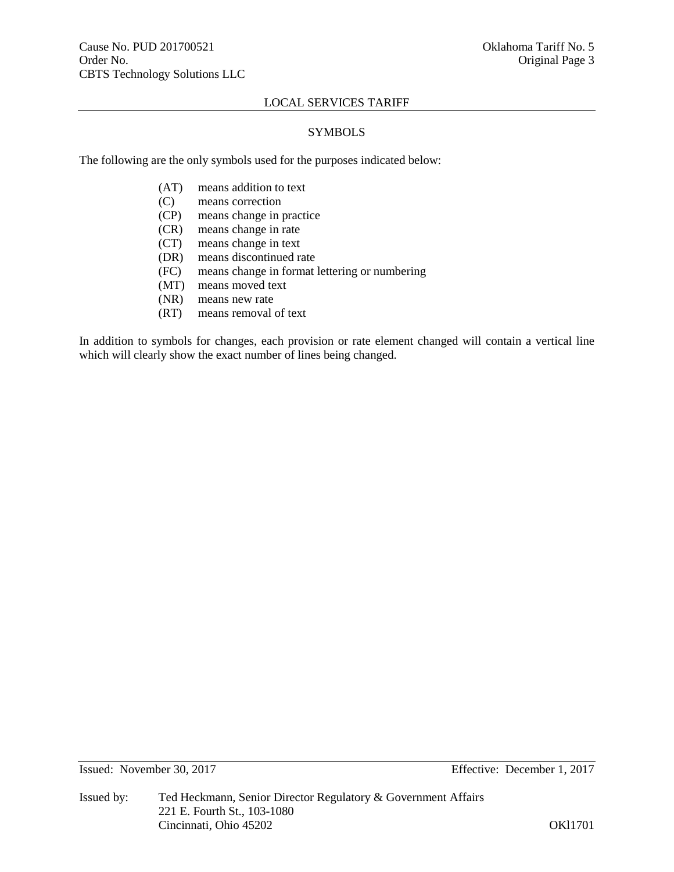# SYMBOLS

The following are the only symbols used for the purposes indicated below:

- (AT) means addition to text
- (C) means correction
- (CP) means change in practice
- (CR) means change in rate
- (CT) means change in text
- (DR) means discontinued rate
- (FC) means change in format lettering or numbering
- (MT) means moved text
- (NR) means new rate
- (RT) means removal of text

In addition to symbols for changes, each provision or rate element changed will contain a vertical line which will clearly show the exact number of lines being changed.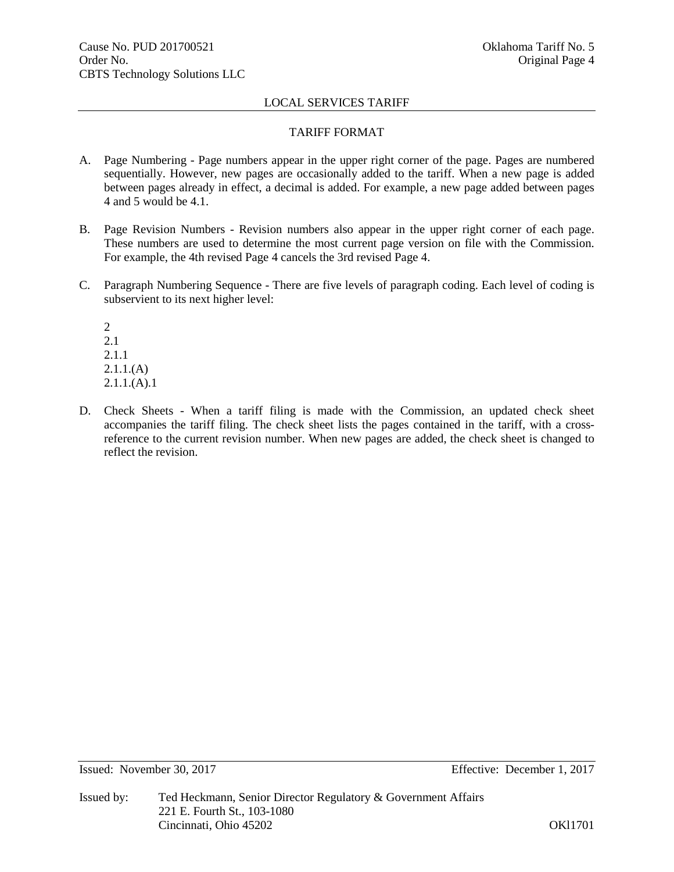# TARIFF FORMAT

- A. Page Numbering Page numbers appear in the upper right corner of the page. Pages are numbered sequentially. However, new pages are occasionally added to the tariff. When a new page is added between pages already in effect, a decimal is added. For example, a new page added between pages 4 and 5 would be 4.1.
- B. Page Revision Numbers Revision numbers also appear in the upper right corner of each page. These numbers are used to determine the most current page version on file with the Commission. For example, the 4th revised Page 4 cancels the 3rd revised Page 4.
- C. Paragraph Numbering Sequence There are five levels of paragraph coding. Each level of coding is subservient to its next higher level:

2 2.1 2.1.1  $2.1.1(A)$  $2.1.1(A).1$ 

D. Check Sheets - When a tariff filing is made with the Commission, an updated check sheet accompanies the tariff filing. The check sheet lists the pages contained in the tariff, with a crossreference to the current revision number. When new pages are added, the check sheet is changed to reflect the revision.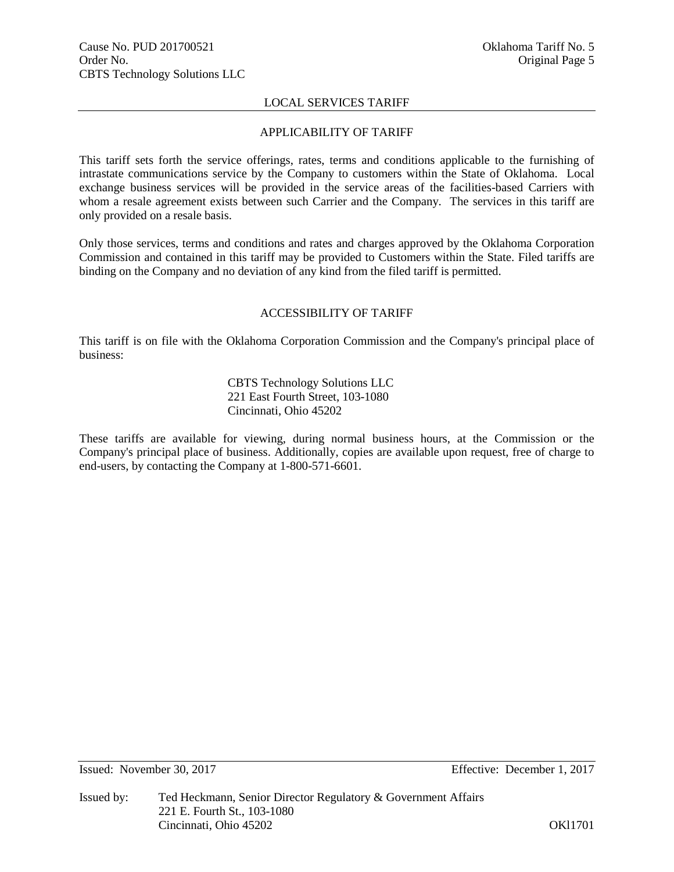# APPLICABILITY OF TARIFF

This tariff sets forth the service offerings, rates, terms and conditions applicable to the furnishing of intrastate communications service by the Company to customers within the State of Oklahoma. Local exchange business services will be provided in the service areas of the facilities-based Carriers with whom a resale agreement exists between such Carrier and the Company. The services in this tariff are only provided on a resale basis.

Only those services, terms and conditions and rates and charges approved by the Oklahoma Corporation Commission and contained in this tariff may be provided to Customers within the State. Filed tariffs are binding on the Company and no deviation of any kind from the filed tariff is permitted.

#### ACCESSIBILITY OF TARIFF

This tariff is on file with the Oklahoma Corporation Commission and the Company's principal place of business:

# CBTS Technology Solutions LLC 221 East Fourth Street, 103-1080 Cincinnati, Ohio 45202

These tariffs are available for viewing, during normal business hours, at the Commission or the Company's principal place of business. Additionally, copies are available upon request, free of charge to end-users, by contacting the Company at 1-800-571-6601.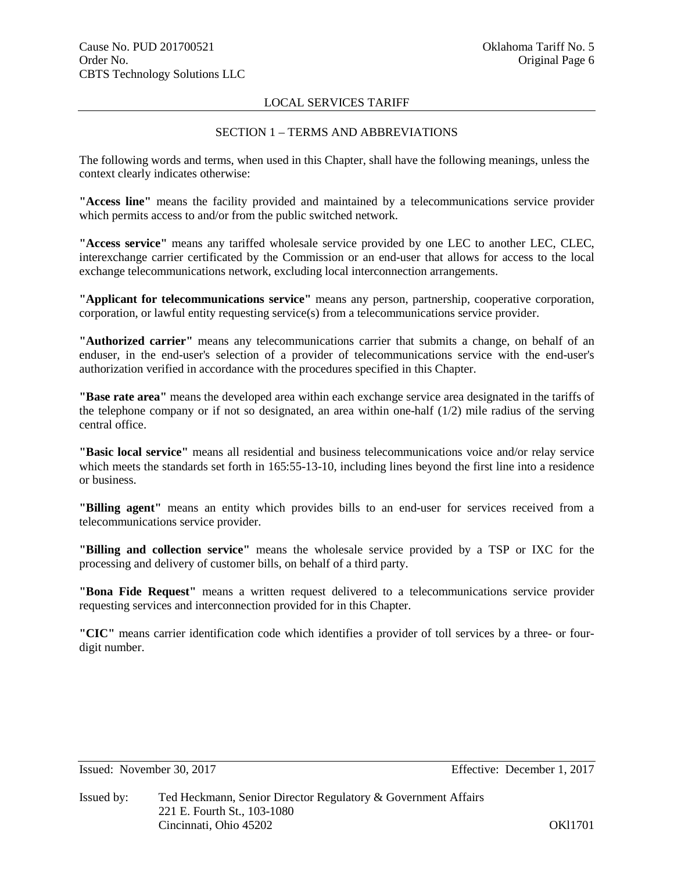### SECTION 1 – TERMS AND ABBREVIATIONS

The following words and terms, when used in this Chapter, shall have the following meanings, unless the context clearly indicates otherwise:

**"Access line"** means the facility provided and maintained by a telecommunications service provider which permits access to and/or from the public switched network.

**"Access service"** means any tariffed wholesale service provided by one LEC to another LEC, CLEC, interexchange carrier certificated by the Commission or an end-user that allows for access to the local exchange telecommunications network, excluding local interconnection arrangements.

**"Applicant for telecommunications service"** means any person, partnership, cooperative corporation, corporation, or lawful entity requesting service(s) from a telecommunications service provider.

**"Authorized carrier"** means any telecommunications carrier that submits a change, on behalf of an enduser, in the end-user's selection of a provider of telecommunications service with the end-user's authorization verified in accordance with the procedures specified in this Chapter.

**"Base rate area"** means the developed area within each exchange service area designated in the tariffs of the telephone company or if not so designated, an area within one-half  $(1/2)$  mile radius of the serving central office.

**"Basic local service"** means all residential and business telecommunications voice and/or relay service which meets the standards set forth in 165:55-13-10, including lines beyond the first line into a residence or business.

**"Billing agent"** means an entity which provides bills to an end-user for services received from a telecommunications service provider.

**"Billing and collection service"** means the wholesale service provided by a TSP or IXC for the processing and delivery of customer bills, on behalf of a third party.

**"Bona Fide Request"** means a written request delivered to a telecommunications service provider requesting services and interconnection provided for in this Chapter.

**"CIC"** means carrier identification code which identifies a provider of toll services by a three- or fourdigit number.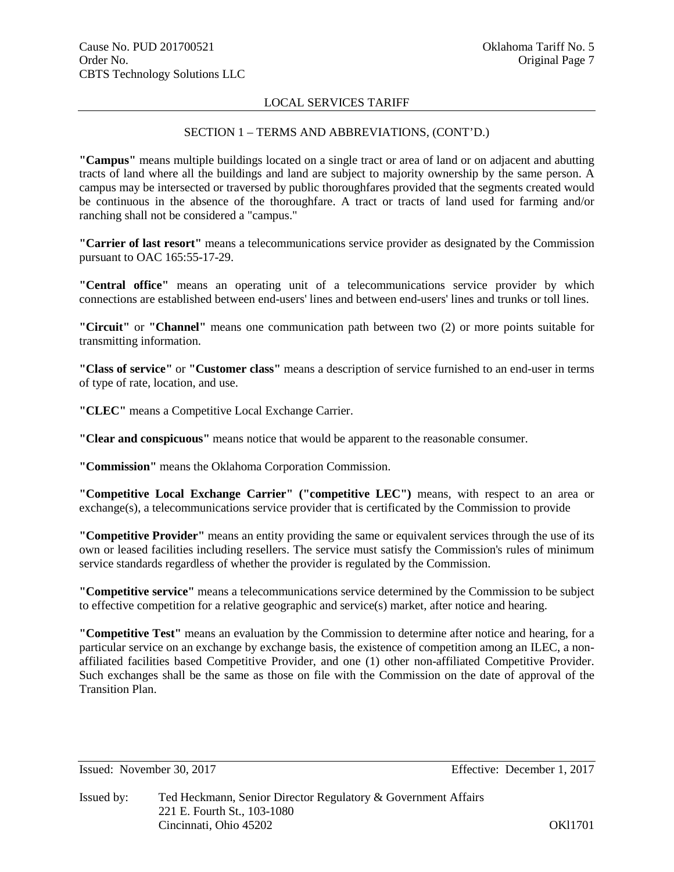# SECTION 1 – TERMS AND ABBREVIATIONS, (CONT'D.)

**"Campus"** means multiple buildings located on a single tract or area of land or on adjacent and abutting tracts of land where all the buildings and land are subject to majority ownership by the same person. A campus may be intersected or traversed by public thoroughfares provided that the segments created would be continuous in the absence of the thoroughfare. A tract or tracts of land used for farming and/or ranching shall not be considered a "campus."

**"Carrier of last resort"** means a telecommunications service provider as designated by the Commission pursuant to OAC 165:55-17-29.

**"Central office"** means an operating unit of a telecommunications service provider by which connections are established between end-users' lines and between end-users' lines and trunks or toll lines.

**"Circuit"** or **"Channel"** means one communication path between two (2) or more points suitable for transmitting information.

**"Class of service"** or **"Customer class"** means a description of service furnished to an end-user in terms of type of rate, location, and use.

**"CLEC"** means a Competitive Local Exchange Carrier.

**"Clear and conspicuous"** means notice that would be apparent to the reasonable consumer.

**"Commission"** means the Oklahoma Corporation Commission.

**"Competitive Local Exchange Carrier" ("competitive LEC")** means, with respect to an area or exchange(s), a telecommunications service provider that is certificated by the Commission to provide

**"Competitive Provider"** means an entity providing the same or equivalent services through the use of its own or leased facilities including resellers. The service must satisfy the Commission's rules of minimum service standards regardless of whether the provider is regulated by the Commission.

**"Competitive service"** means a telecommunications service determined by the Commission to be subject to effective competition for a relative geographic and service(s) market, after notice and hearing.

**"Competitive Test"** means an evaluation by the Commission to determine after notice and hearing, for a particular service on an exchange by exchange basis, the existence of competition among an ILEC, a nonaffiliated facilities based Competitive Provider, and one (1) other non-affiliated Competitive Provider. Such exchanges shall be the same as those on file with the Commission on the date of approval of the Transition Plan.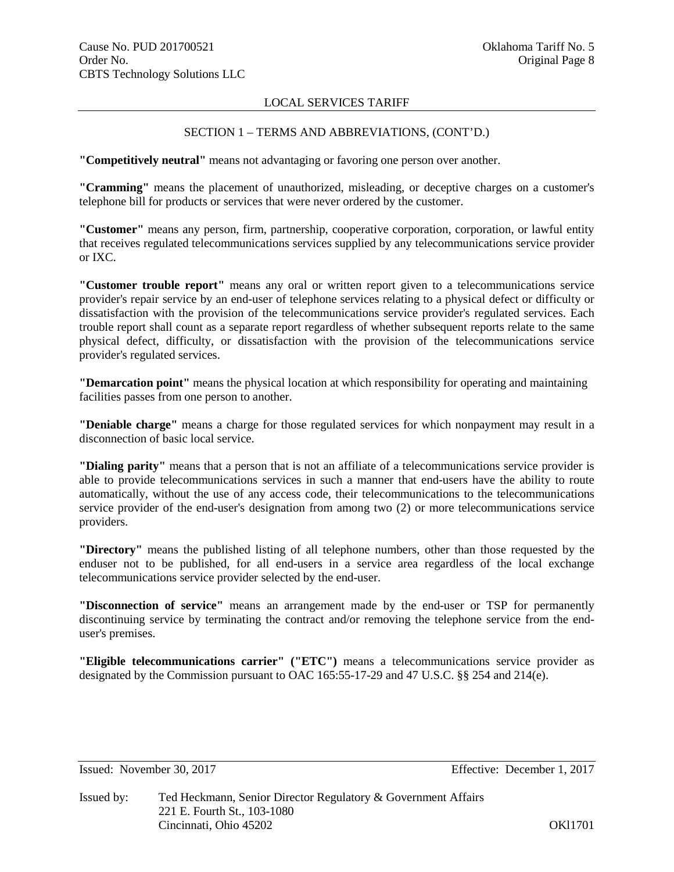# SECTION 1 – TERMS AND ABBREVIATIONS, (CONT'D.)

**"Competitively neutral"** means not advantaging or favoring one person over another.

**"Cramming"** means the placement of unauthorized, misleading, or deceptive charges on a customer's telephone bill for products or services that were never ordered by the customer.

**"Customer"** means any person, firm, partnership, cooperative corporation, corporation, or lawful entity that receives regulated telecommunications services supplied by any telecommunications service provider or IXC.

**"Customer trouble report"** means any oral or written report given to a telecommunications service provider's repair service by an end-user of telephone services relating to a physical defect or difficulty or dissatisfaction with the provision of the telecommunications service provider's regulated services. Each trouble report shall count as a separate report regardless of whether subsequent reports relate to the same physical defect, difficulty, or dissatisfaction with the provision of the telecommunications service provider's regulated services.

**"Demarcation point"** means the physical location at which responsibility for operating and maintaining facilities passes from one person to another.

**"Deniable charge"** means a charge for those regulated services for which nonpayment may result in a disconnection of basic local service.

**"Dialing parity"** means that a person that is not an affiliate of a telecommunications service provider is able to provide telecommunications services in such a manner that end-users have the ability to route automatically, without the use of any access code, their telecommunications to the telecommunications service provider of the end-user's designation from among two (2) or more telecommunications service providers.

**"Directory"** means the published listing of all telephone numbers, other than those requested by the enduser not to be published, for all end-users in a service area regardless of the local exchange telecommunications service provider selected by the end-user.

**"Disconnection of service"** means an arrangement made by the end-user or TSP for permanently discontinuing service by terminating the contract and/or removing the telephone service from the enduser's premises.

**"Eligible telecommunications carrier" ("ETC")** means a telecommunications service provider as designated by the Commission pursuant to OAC 165:55-17-29 and 47 U.S.C. §§ 254 and 214(e).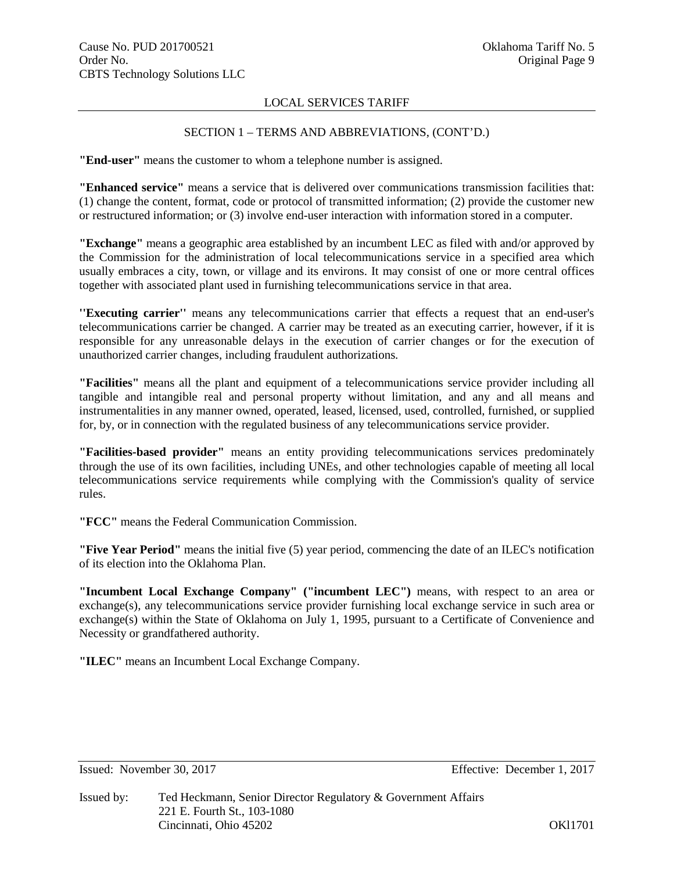# SECTION 1 – TERMS AND ABBREVIATIONS, (CONT'D.)

**"End-user"** means the customer to whom a telephone number is assigned.

**"Enhanced service"** means a service that is delivered over communications transmission facilities that: (1) change the content, format, code or protocol of transmitted information; (2) provide the customer new or restructured information; or (3) involve end-user interaction with information stored in a computer.

**"Exchange"** means a geographic area established by an incumbent LEC as filed with and/or approved by the Commission for the administration of local telecommunications service in a specified area which usually embraces a city, town, or village and its environs. It may consist of one or more central offices together with associated plant used in furnishing telecommunications service in that area.

**''Executing carrier''** means any telecommunications carrier that effects a request that an end-user's telecommunications carrier be changed. A carrier may be treated as an executing carrier, however, if it is responsible for any unreasonable delays in the execution of carrier changes or for the execution of unauthorized carrier changes, including fraudulent authorizations.

**"Facilities"** means all the plant and equipment of a telecommunications service provider including all tangible and intangible real and personal property without limitation, and any and all means and instrumentalities in any manner owned, operated, leased, licensed, used, controlled, furnished, or supplied for, by, or in connection with the regulated business of any telecommunications service provider.

**"Facilities-based provider"** means an entity providing telecommunications services predominately through the use of its own facilities, including UNEs, and other technologies capable of meeting all local telecommunications service requirements while complying with the Commission's quality of service rules.

**"FCC"** means the Federal Communication Commission.

**"Five Year Period"** means the initial five (5) year period, commencing the date of an ILEC's notification of its election into the Oklahoma Plan.

**"Incumbent Local Exchange Company" ("incumbent LEC")** means, with respect to an area or exchange(s), any telecommunications service provider furnishing local exchange service in such area or exchange(s) within the State of Oklahoma on July 1, 1995, pursuant to a Certificate of Convenience and Necessity or grandfathered authority.

**"ILEC"** means an Incumbent Local Exchange Company.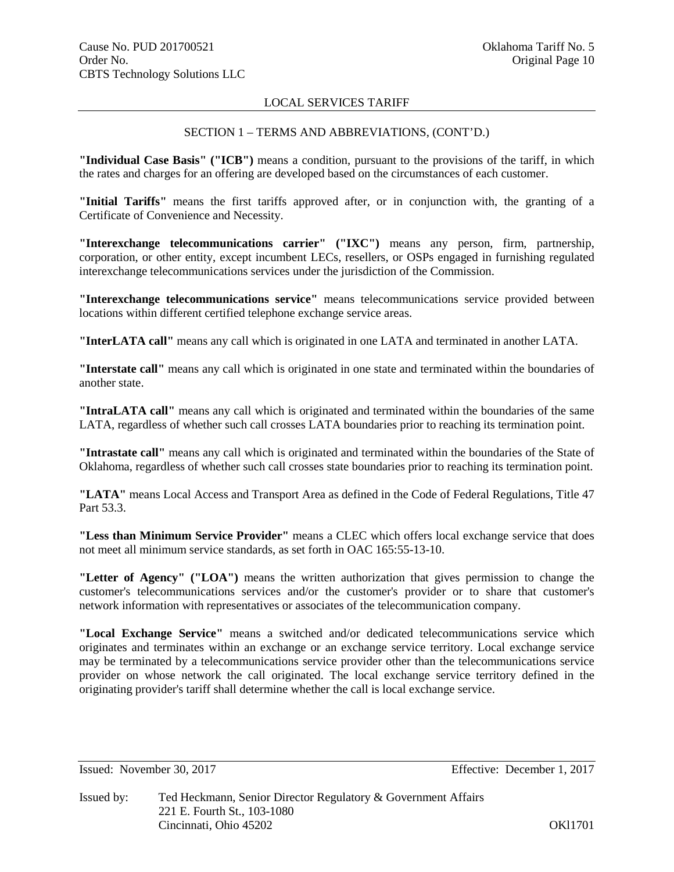# SECTION 1 – TERMS AND ABBREVIATIONS, (CONT'D.)

**"Individual Case Basis" ("ICB")** means a condition, pursuant to the provisions of the tariff, in which the rates and charges for an offering are developed based on the circumstances of each customer.

**"Initial Tariffs"** means the first tariffs approved after, or in conjunction with, the granting of a Certificate of Convenience and Necessity.

**"Interexchange telecommunications carrier" ("IXC")** means any person, firm, partnership, corporation, or other entity, except incumbent LECs, resellers, or OSPs engaged in furnishing regulated interexchange telecommunications services under the jurisdiction of the Commission.

**"Interexchange telecommunications service"** means telecommunications service provided between locations within different certified telephone exchange service areas.

**"InterLATA call"** means any call which is originated in one LATA and terminated in another LATA.

**"Interstate call"** means any call which is originated in one state and terminated within the boundaries of another state.

**"IntraLATA call"** means any call which is originated and terminated within the boundaries of the same LATA, regardless of whether such call crosses LATA boundaries prior to reaching its termination point.

**"Intrastate call"** means any call which is originated and terminated within the boundaries of the State of Oklahoma, regardless of whether such call crosses state boundaries prior to reaching its termination point.

**"LATA"** means Local Access and Transport Area as defined in the Code of Federal Regulations, Title 47 Part 53.3.

**"Less than Minimum Service Provider"** means a CLEC which offers local exchange service that does not meet all minimum service standards, as set forth in OAC 165:55-13-10.

**"Letter of Agency" ("LOA")** means the written authorization that gives permission to change the customer's telecommunications services and/or the customer's provider or to share that customer's network information with representatives or associates of the telecommunication company.

**"Local Exchange Service"** means a switched and/or dedicated telecommunications service which originates and terminates within an exchange or an exchange service territory. Local exchange service may be terminated by a telecommunications service provider other than the telecommunications service provider on whose network the call originated. The local exchange service territory defined in the originating provider's tariff shall determine whether the call is local exchange service.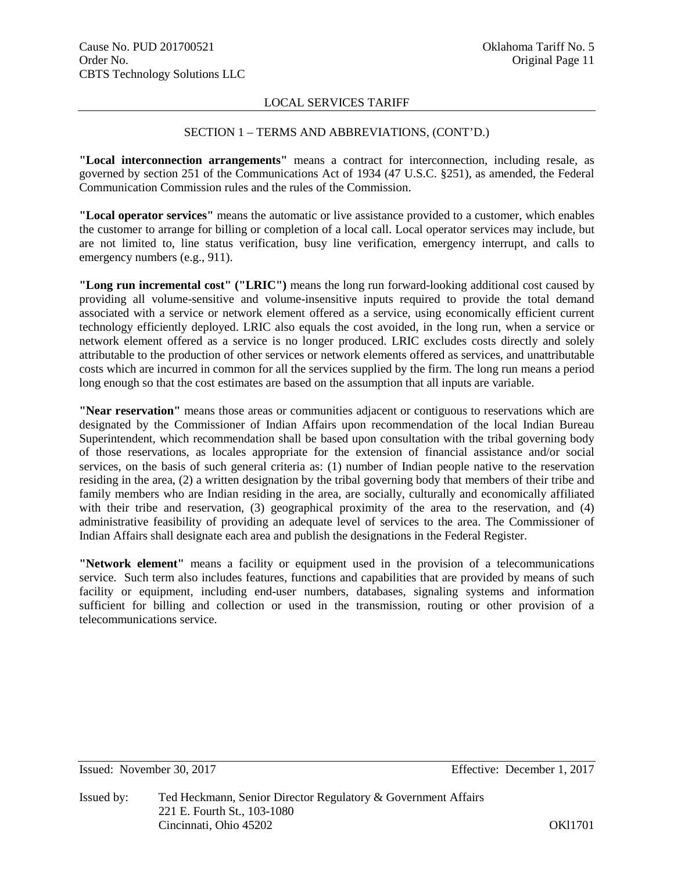# SECTION 1 – TERMS AND ABBREVIATIONS, (CONT'D.)

**"Local interconnection arrangements"** means a contract for interconnection, including resale, as governed by section 251 of the Communications Act of 1934 (47 U.S.C. §251), as amended, the Federal Communication Commission rules and the rules of the Commission.

**"Local operator services"** means the automatic or live assistance provided to a customer, which enables the customer to arrange for billing or completion of a local call. Local operator services may include, but are not limited to, line status verification, busy line verification, emergency interrupt, and calls to emergency numbers (e.g., 911).

**"Long run incremental cost" ("LRIC")** means the long run forward-looking additional cost caused by providing all volume-sensitive and volume-insensitive inputs required to provide the total demand associated with a service or network element offered as a service, using economically efficient current technology efficiently deployed. LRIC also equals the cost avoided, in the long run, when a service or network element offered as a service is no longer produced. LRIC excludes costs directly and solely attributable to the production of other services or network elements offered as services, and unattributable costs which are incurred in common for all the services supplied by the firm. The long run means a period long enough so that the cost estimates are based on the assumption that all inputs are variable.

**"Near reservation"** means those areas or communities adjacent or contiguous to reservations which are designated by the Commissioner of Indian Affairs upon recommendation of the local Indian Bureau Superintendent, which recommendation shall be based upon consultation with the tribal governing body of those reservations, as locales appropriate for the extension of financial assistance and/or social services, on the basis of such general criteria as: (1) number of Indian people native to the reservation residing in the area, (2) a written designation by the tribal governing body that members of their tribe and family members who are Indian residing in the area, are socially, culturally and economically affiliated with their tribe and reservation, (3) geographical proximity of the area to the reservation, and (4) administrative feasibility of providing an adequate level of services to the area. The Commissioner of Indian Affairs shall designate each area and publish the designations in the Federal Register.

**"Network element"** means a facility or equipment used in the provision of a telecommunications service. Such term also includes features, functions and capabilities that are provided by means of such facility or equipment, including end-user numbers, databases, signaling systems and information sufficient for billing and collection or used in the transmission, routing or other provision of a telecommunications service.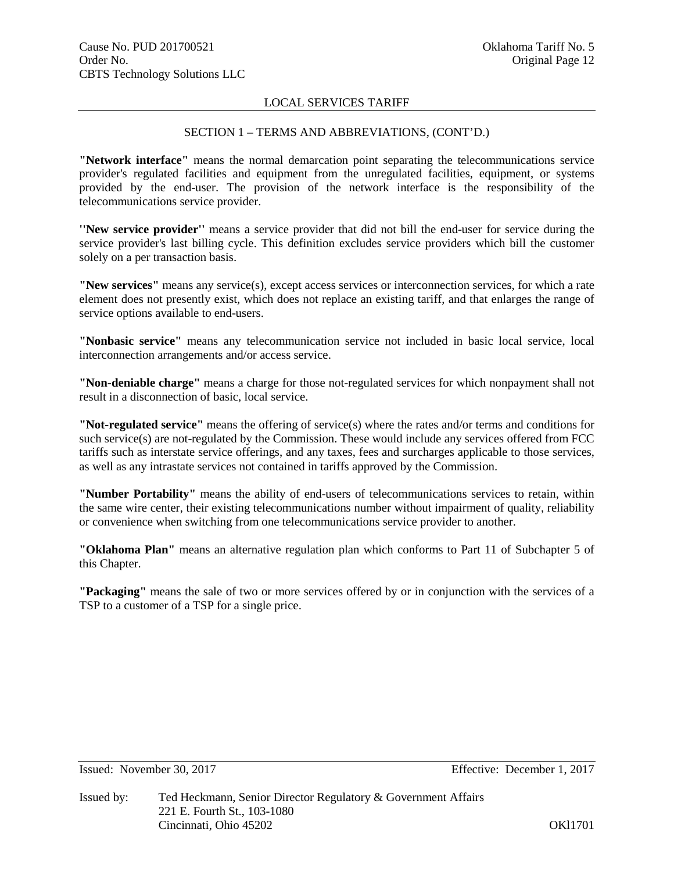# SECTION 1 – TERMS AND ABBREVIATIONS, (CONT'D.)

**"Network interface"** means the normal demarcation point separating the telecommunications service provider's regulated facilities and equipment from the unregulated facilities, equipment, or systems provided by the end-user. The provision of the network interface is the responsibility of the telecommunications service provider.

**''New service provider''** means a service provider that did not bill the end-user for service during the service provider's last billing cycle. This definition excludes service providers which bill the customer solely on a per transaction basis.

**"New services"** means any service(s), except access services or interconnection services, for which a rate element does not presently exist, which does not replace an existing tariff, and that enlarges the range of service options available to end-users.

**"Nonbasic service"** means any telecommunication service not included in basic local service, local interconnection arrangements and/or access service.

**"Non-deniable charge"** means a charge for those not-regulated services for which nonpayment shall not result in a disconnection of basic, local service.

**"Not-regulated service"** means the offering of service(s) where the rates and/or terms and conditions for such service(s) are not-regulated by the Commission. These would include any services offered from FCC tariffs such as interstate service offerings, and any taxes, fees and surcharges applicable to those services, as well as any intrastate services not contained in tariffs approved by the Commission.

**"Number Portability"** means the ability of end-users of telecommunications services to retain, within the same wire center, their existing telecommunications number without impairment of quality, reliability or convenience when switching from one telecommunications service provider to another.

**"Oklahoma Plan"** means an alternative regulation plan which conforms to Part 11 of Subchapter 5 of this Chapter.

**"Packaging"** means the sale of two or more services offered by or in conjunction with the services of a TSP to a customer of a TSP for a single price.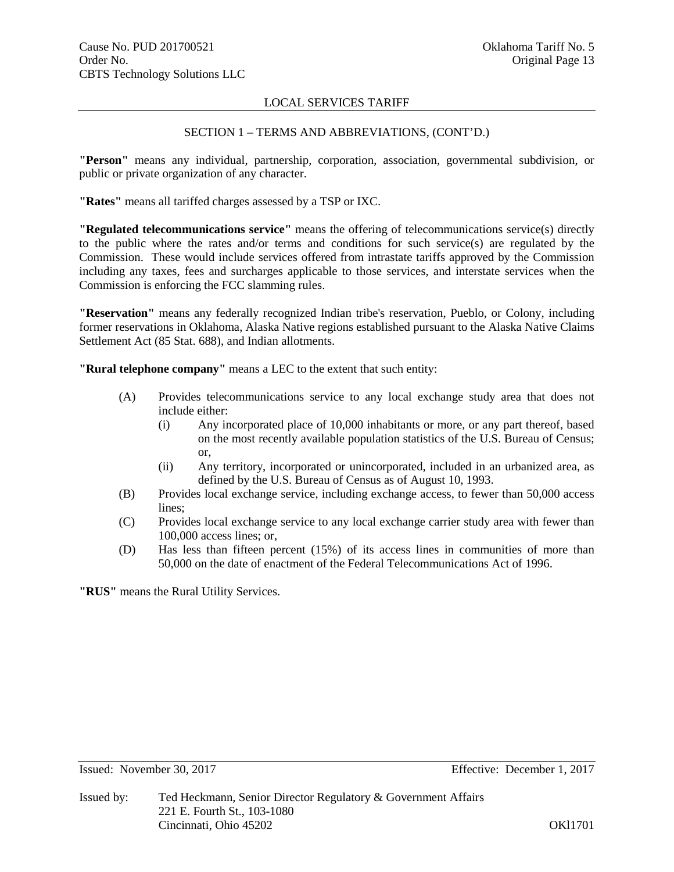# SECTION 1 – TERMS AND ABBREVIATIONS, (CONT'D.)

**"Person"** means any individual, partnership, corporation, association, governmental subdivision, or public or private organization of any character.

**"Rates"** means all tariffed charges assessed by a TSP or IXC.

**"Regulated telecommunications service"** means the offering of telecommunications service(s) directly to the public where the rates and/or terms and conditions for such service(s) are regulated by the Commission. These would include services offered from intrastate tariffs approved by the Commission including any taxes, fees and surcharges applicable to those services, and interstate services when the Commission is enforcing the FCC slamming rules.

**"Reservation"** means any federally recognized Indian tribe's reservation, Pueblo, or Colony, including former reservations in Oklahoma, Alaska Native regions established pursuant to the Alaska Native Claims Settlement Act (85 Stat. 688), and Indian allotments.

**"Rural telephone company"** means a LEC to the extent that such entity:

- (A) Provides telecommunications service to any local exchange study area that does not include either:
	- (i) Any incorporated place of 10,000 inhabitants or more, or any part thereof, based on the most recently available population statistics of the U.S. Bureau of Census; or,
	- (ii) Any territory, incorporated or unincorporated, included in an urbanized area, as defined by the U.S. Bureau of Census as of August 10, 1993.
- (B) Provides local exchange service, including exchange access, to fewer than 50,000 access lines;
- (C) Provides local exchange service to any local exchange carrier study area with fewer than 100,000 access lines; or,
- (D) Has less than fifteen percent (15%) of its access lines in communities of more than 50,000 on the date of enactment of the Federal Telecommunications Act of 1996.

**"RUS"** means the Rural Utility Services.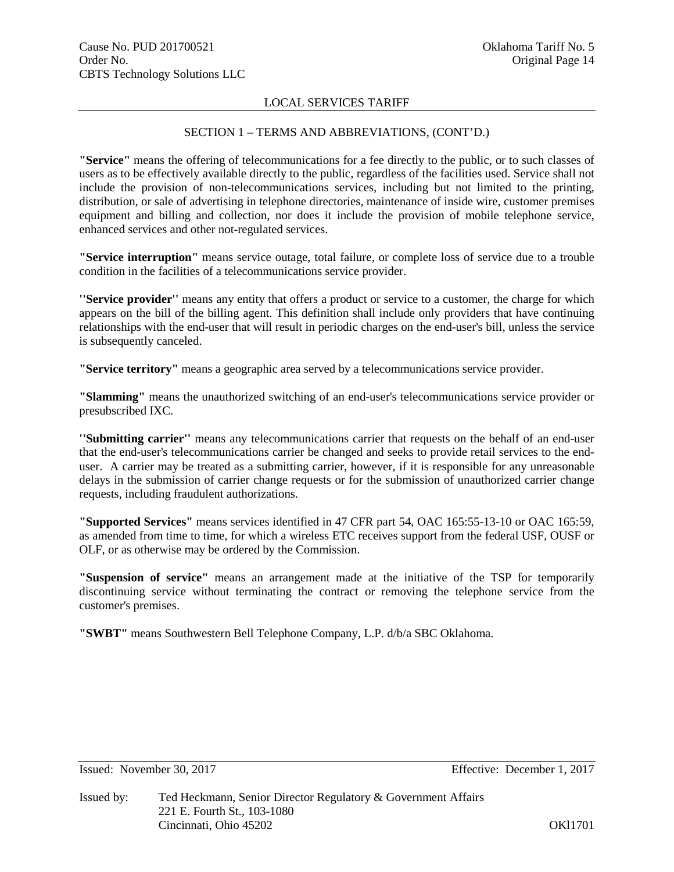# SECTION 1 – TERMS AND ABBREVIATIONS, (CONT'D.)

**"Service"** means the offering of telecommunications for a fee directly to the public, or to such classes of users as to be effectively available directly to the public, regardless of the facilities used. Service shall not include the provision of non-telecommunications services, including but not limited to the printing, distribution, or sale of advertising in telephone directories, maintenance of inside wire, customer premises equipment and billing and collection, nor does it include the provision of mobile telephone service, enhanced services and other not-regulated services.

**"Service interruption"** means service outage, total failure, or complete loss of service due to a trouble condition in the facilities of a telecommunications service provider.

**''Service provider''** means any entity that offers a product or service to a customer, the charge for which appears on the bill of the billing agent. This definition shall include only providers that have continuing relationships with the end-user that will result in periodic charges on the end-user's bill, unless the service is subsequently canceled.

**"Service territory"** means a geographic area served by a telecommunications service provider.

**"Slamming"** means the unauthorized switching of an end-user's telecommunications service provider or presubscribed IXC.

**''Submitting carrier''** means any telecommunications carrier that requests on the behalf of an end-user that the end-user's telecommunications carrier be changed and seeks to provide retail services to the enduser. A carrier may be treated as a submitting carrier, however, if it is responsible for any unreasonable delays in the submission of carrier change requests or for the submission of unauthorized carrier change requests, including fraudulent authorizations.

**"Supported Services"** means services identified in 47 CFR part 54, OAC 165:55-13-10 or OAC 165:59, as amended from time to time, for which a wireless ETC receives support from the federal USF, OUSF or OLF, or as otherwise may be ordered by the Commission.

**"Suspension of service"** means an arrangement made at the initiative of the TSP for temporarily discontinuing service without terminating the contract or removing the telephone service from the customer's premises.

**"SWBT"** means Southwestern Bell Telephone Company, L.P. d/b/a SBC Oklahoma.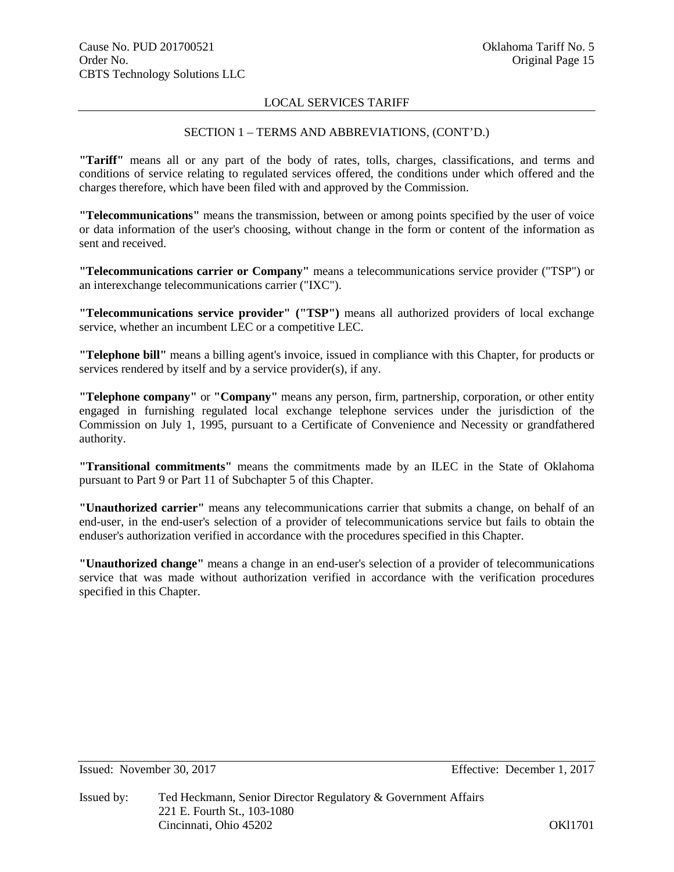# SECTION 1 – TERMS AND ABBREVIATIONS, (CONT'D.)

**"Tariff"** means all or any part of the body of rates, tolls, charges, classifications, and terms and conditions of service relating to regulated services offered, the conditions under which offered and the charges therefore, which have been filed with and approved by the Commission.

**"Telecommunications"** means the transmission, between or among points specified by the user of voice or data information of the user's choosing, without change in the form or content of the information as sent and received.

**"Telecommunications carrier or Company"** means a telecommunications service provider ("TSP") or an interexchange telecommunications carrier ("IXC").

**"Telecommunications service provider" ("TSP")** means all authorized providers of local exchange service, whether an incumbent LEC or a competitive LEC.

**"Telephone bill"** means a billing agent's invoice, issued in compliance with this Chapter, for products or services rendered by itself and by a service provider(s), if any.

**"Telephone company"** or **"Company"** means any person, firm, partnership, corporation, or other entity engaged in furnishing regulated local exchange telephone services under the jurisdiction of the Commission on July 1, 1995, pursuant to a Certificate of Convenience and Necessity or grandfathered authority.

**"Transitional commitments"** means the commitments made by an ILEC in the State of Oklahoma pursuant to Part 9 or Part 11 of Subchapter 5 of this Chapter.

**"Unauthorized carrier"** means any telecommunications carrier that submits a change, on behalf of an end-user, in the end-user's selection of a provider of telecommunications service but fails to obtain the enduser's authorization verified in accordance with the procedures specified in this Chapter.

**"Unauthorized change"** means a change in an end-user's selection of a provider of telecommunications service that was made without authorization verified in accordance with the verification procedures specified in this Chapter.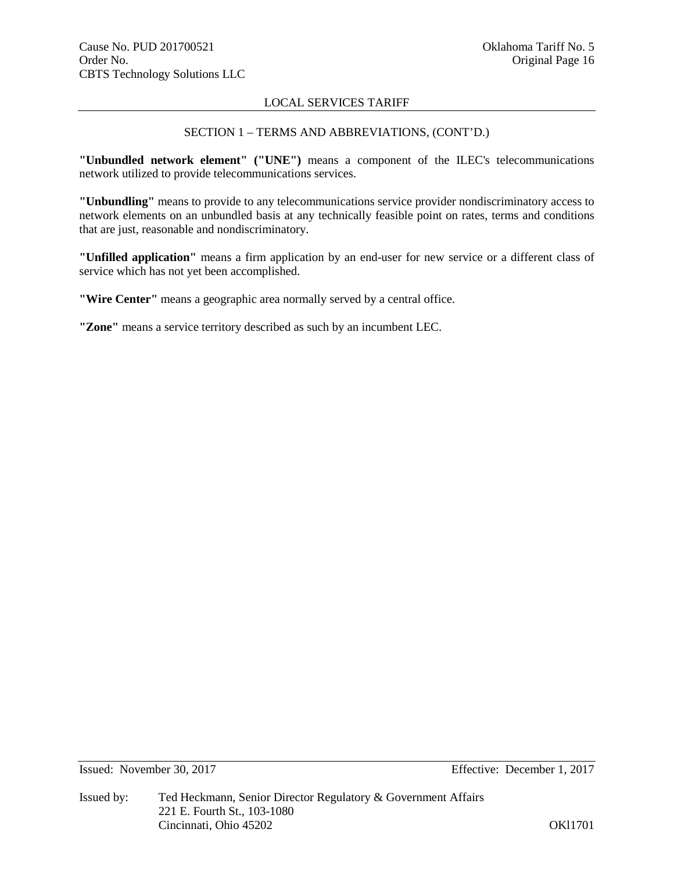# SECTION 1 – TERMS AND ABBREVIATIONS, (CONT'D.)

**"Unbundled network element" ("UNE")** means a component of the ILEC's telecommunications network utilized to provide telecommunications services.

**"Unbundling"** means to provide to any telecommunications service provider nondiscriminatory access to network elements on an unbundled basis at any technically feasible point on rates, terms and conditions that are just, reasonable and nondiscriminatory.

**"Unfilled application"** means a firm application by an end-user for new service or a different class of service which has not yet been accomplished.

**"Wire Center"** means a geographic area normally served by a central office.

**"Zone"** means a service territory described as such by an incumbent LEC.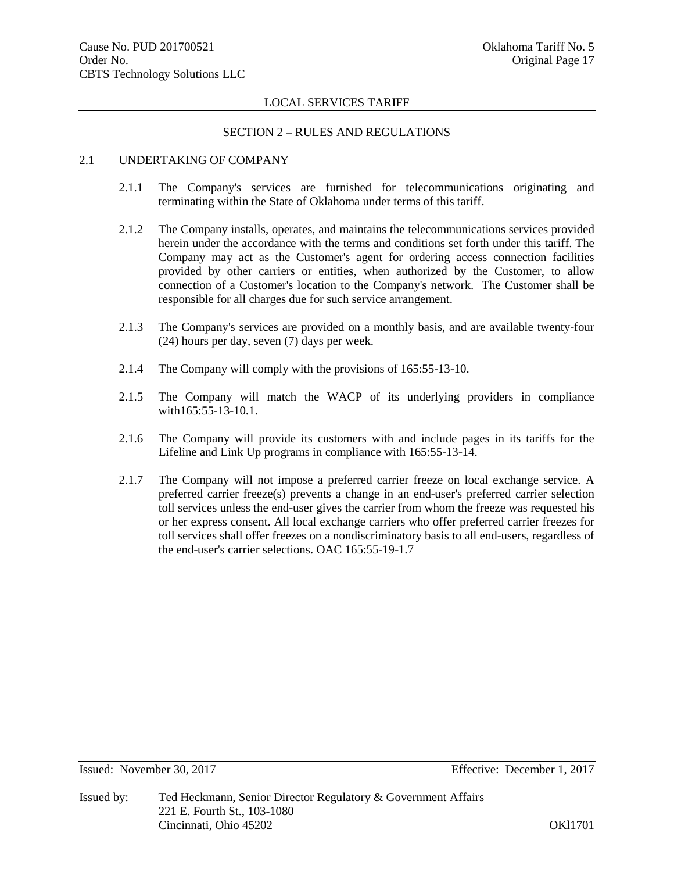#### SECTION 2 – RULES AND REGULATIONS

### 2.1 UNDERTAKING OF COMPANY

- 2.1.1 The Company's services are furnished for telecommunications originating and terminating within the State of Oklahoma under terms of this tariff.
- 2.1.2 The Company installs, operates, and maintains the telecommunications services provided herein under the accordance with the terms and conditions set forth under this tariff. The Company may act as the Customer's agent for ordering access connection facilities provided by other carriers or entities, when authorized by the Customer, to allow connection of a Customer's location to the Company's network. The Customer shall be responsible for all charges due for such service arrangement.
- 2.1.3 The Company's services are provided on a monthly basis, and are available twenty-four (24) hours per day, seven (7) days per week.
- 2.1.4 The Company will comply with the provisions of 165:55-13-10.
- 2.1.5 The Company will match the WACP of its underlying providers in compliance with165:55-13-10.1.
- 2.1.6 The Company will provide its customers with and include pages in its tariffs for the Lifeline and Link Up programs in compliance with 165:55-13-14.
- 2.1.7 The Company will not impose a preferred carrier freeze on local exchange service. A preferred carrier freeze(s) prevents a change in an end-user's preferred carrier selection toll services unless the end-user gives the carrier from whom the freeze was requested his or her express consent. All local exchange carriers who offer preferred carrier freezes for toll services shall offer freezes on a nondiscriminatory basis to all end-users, regardless of the end-user's carrier selections. OAC 165:55-19-1.7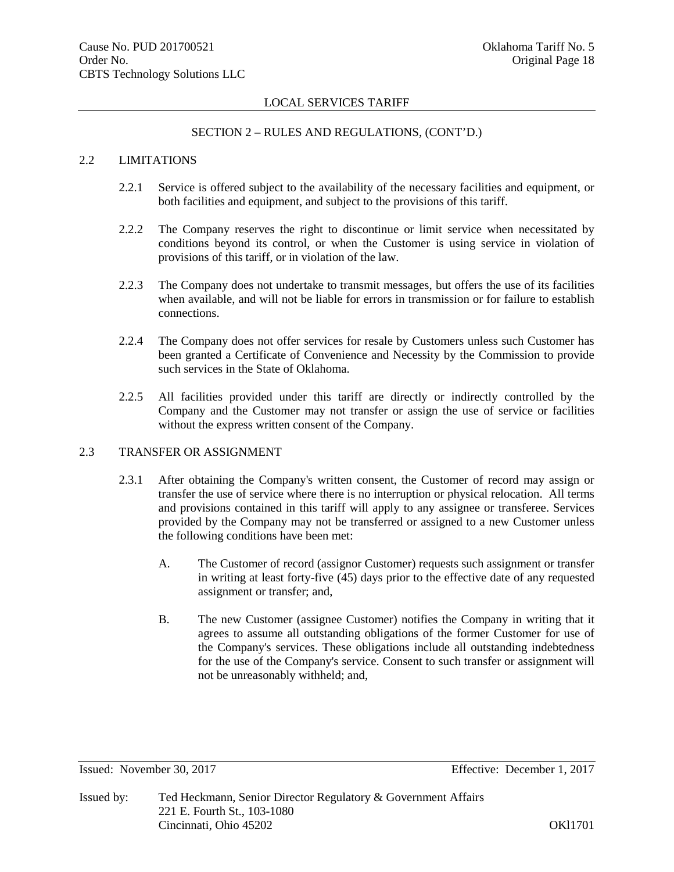#### SECTION 2 – RULES AND REGULATIONS, (CONT'D.)

# 2.2 LIMITATIONS

- 2.2.1 Service is offered subject to the availability of the necessary facilities and equipment, or both facilities and equipment, and subject to the provisions of this tariff.
- 2.2.2 The Company reserves the right to discontinue or limit service when necessitated by conditions beyond its control, or when the Customer is using service in violation of provisions of this tariff, or in violation of the law.
- 2.2.3 The Company does not undertake to transmit messages, but offers the use of its facilities when available, and will not be liable for errors in transmission or for failure to establish connections.
- 2.2.4 The Company does not offer services for resale by Customers unless such Customer has been granted a Certificate of Convenience and Necessity by the Commission to provide such services in the State of Oklahoma.
- 2.2.5 All facilities provided under this tariff are directly or indirectly controlled by the Company and the Customer may not transfer or assign the use of service or facilities without the express written consent of the Company.

# 2.3 TRANSFER OR ASSIGNMENT

- 2.3.1 After obtaining the Company's written consent, the Customer of record may assign or transfer the use of service where there is no interruption or physical relocation. All terms and provisions contained in this tariff will apply to any assignee or transferee. Services provided by the Company may not be transferred or assigned to a new Customer unless the following conditions have been met:
	- A. The Customer of record (assignor Customer) requests such assignment or transfer in writing at least forty-five (45) days prior to the effective date of any requested assignment or transfer; and,
	- B. The new Customer (assignee Customer) notifies the Company in writing that it agrees to assume all outstanding obligations of the former Customer for use of the Company's services. These obligations include all outstanding indebtedness for the use of the Company's service. Consent to such transfer or assignment will not be unreasonably withheld; and,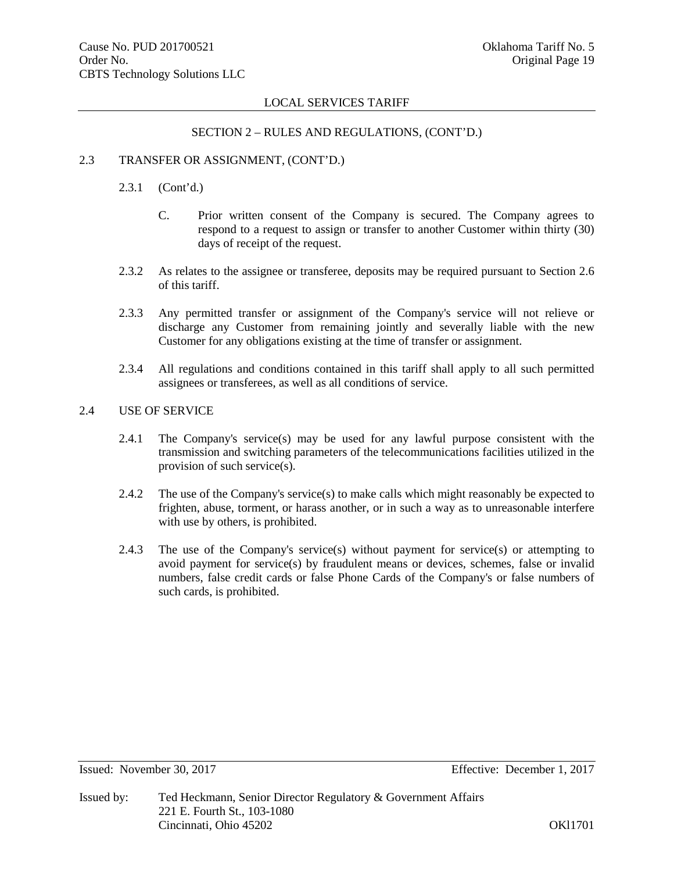#### SECTION 2 – RULES AND REGULATIONS, (CONT'D.)

# 2.3 TRANSFER OR ASSIGNMENT, (CONT'D.)

- 2.3.1 (Cont'd.)
	- C. Prior written consent of the Company is secured. The Company agrees to respond to a request to assign or transfer to another Customer within thirty (30) days of receipt of the request.
- 2.3.2 As relates to the assignee or transferee, deposits may be required pursuant to Section 2.6 of this tariff.
- 2.3.3 Any permitted transfer or assignment of the Company's service will not relieve or discharge any Customer from remaining jointly and severally liable with the new Customer for any obligations existing at the time of transfer or assignment.
- 2.3.4 All regulations and conditions contained in this tariff shall apply to all such permitted assignees or transferees, as well as all conditions of service.

# 2.4 USE OF SERVICE

- 2.4.1 The Company's service(s) may be used for any lawful purpose consistent with the transmission and switching parameters of the telecommunications facilities utilized in the provision of such service(s).
- 2.4.2 The use of the Company's service(s) to make calls which might reasonably be expected to frighten, abuse, torment, or harass another, or in such a way as to unreasonable interfere with use by others, is prohibited.
- 2.4.3 The use of the Company's service(s) without payment for service(s) or attempting to avoid payment for service(s) by fraudulent means or devices, schemes, false or invalid numbers, false credit cards or false Phone Cards of the Company's or false numbers of such cards, is prohibited.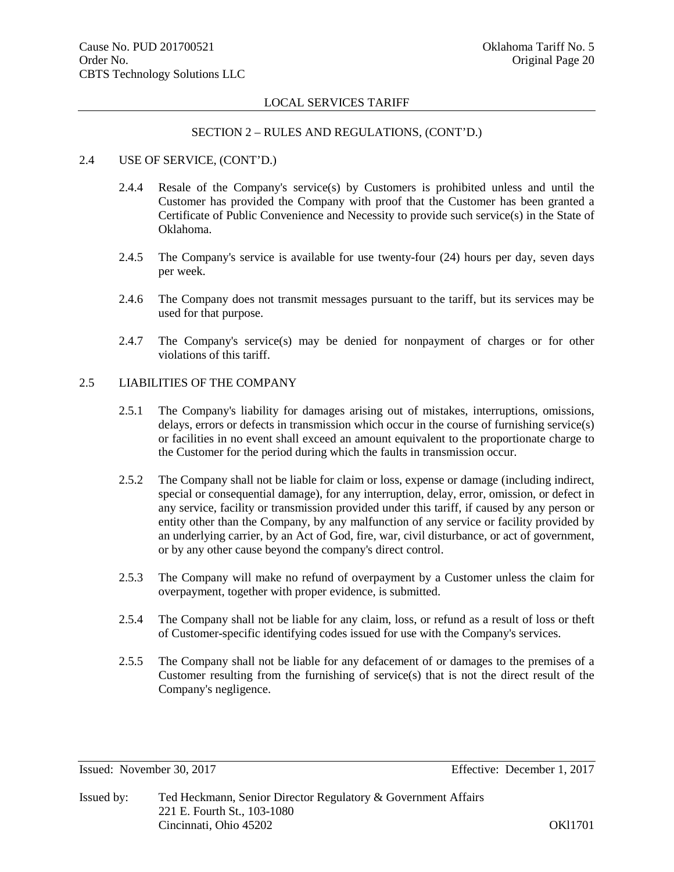#### SECTION 2 – RULES AND REGULATIONS, (CONT'D.)

# 2.4 USE OF SERVICE, (CONT'D.)

- 2.4.4 Resale of the Company's service(s) by Customers is prohibited unless and until the Customer has provided the Company with proof that the Customer has been granted a Certificate of Public Convenience and Necessity to provide such service(s) in the State of Oklahoma.
- 2.4.5 The Company's service is available for use twenty-four (24) hours per day, seven days per week.
- 2.4.6 The Company does not transmit messages pursuant to the tariff, but its services may be used for that purpose.
- 2.4.7 The Company's service(s) may be denied for nonpayment of charges or for other violations of this tariff.

# 2.5 LIABILITIES OF THE COMPANY

- 2.5.1 The Company's liability for damages arising out of mistakes, interruptions, omissions, delays, errors or defects in transmission which occur in the course of furnishing service(s) or facilities in no event shall exceed an amount equivalent to the proportionate charge to the Customer for the period during which the faults in transmission occur.
- 2.5.2 The Company shall not be liable for claim or loss, expense or damage (including indirect, special or consequential damage), for any interruption, delay, error, omission, or defect in any service, facility or transmission provided under this tariff, if caused by any person or entity other than the Company, by any malfunction of any service or facility provided by an underlying carrier, by an Act of God, fire, war, civil disturbance, or act of government, or by any other cause beyond the company's direct control.
- 2.5.3 The Company will make no refund of overpayment by a Customer unless the claim for overpayment, together with proper evidence, is submitted.
- 2.5.4 The Company shall not be liable for any claim, loss, or refund as a result of loss or theft of Customer-specific identifying codes issued for use with the Company's services.
- 2.5.5 The Company shall not be liable for any defacement of or damages to the premises of a Customer resulting from the furnishing of service(s) that is not the direct result of the Company's negligence.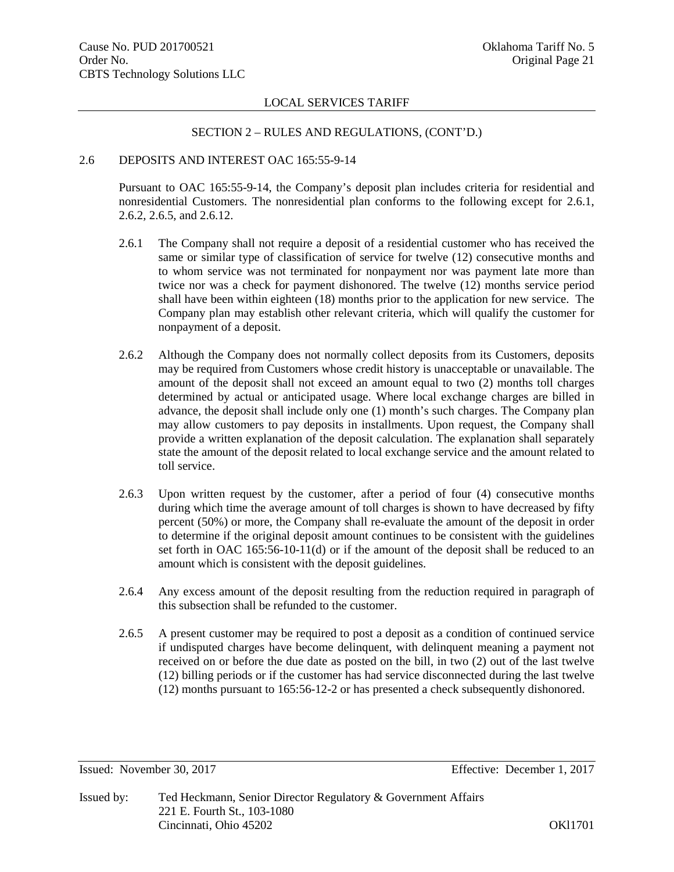#### SECTION 2 – RULES AND REGULATIONS, (CONT'D.)

### 2.6 DEPOSITS AND INTEREST OAC 165:55-9-14

Pursuant to OAC 165:55-9-14, the Company's deposit plan includes criteria for residential and nonresidential Customers. The nonresidential plan conforms to the following except for 2.6.1, 2.6.2, 2.6.5, and 2.6.12.

- 2.6.1 The Company shall not require a deposit of a residential customer who has received the same or similar type of classification of service for twelve (12) consecutive months and to whom service was not terminated for nonpayment nor was payment late more than twice nor was a check for payment dishonored. The twelve (12) months service period shall have been within eighteen (18) months prior to the application for new service. The Company plan may establish other relevant criteria, which will qualify the customer for nonpayment of a deposit.
- 2.6.2 Although the Company does not normally collect deposits from its Customers, deposits may be required from Customers whose credit history is unacceptable or unavailable. The amount of the deposit shall not exceed an amount equal to two (2) months toll charges determined by actual or anticipated usage. Where local exchange charges are billed in advance, the deposit shall include only one (1) month's such charges. The Company plan may allow customers to pay deposits in installments. Upon request, the Company shall provide a written explanation of the deposit calculation. The explanation shall separately state the amount of the deposit related to local exchange service and the amount related to toll service.
- 2.6.3 Upon written request by the customer, after a period of four (4) consecutive months during which time the average amount of toll charges is shown to have decreased by fifty percent (50%) or more, the Company shall re-evaluate the amount of the deposit in order to determine if the original deposit amount continues to be consistent with the guidelines set forth in OAC 165:56-10-11(d) or if the amount of the deposit shall be reduced to an amount which is consistent with the deposit guidelines.
- 2.6.4 Any excess amount of the deposit resulting from the reduction required in paragraph of this subsection shall be refunded to the customer.
- 2.6.5 A present customer may be required to post a deposit as a condition of continued service if undisputed charges have become delinquent, with delinquent meaning a payment not received on or before the due date as posted on the bill, in two (2) out of the last twelve (12) billing periods or if the customer has had service disconnected during the last twelve (12) months pursuant to 165:56-12-2 or has presented a check subsequently dishonored.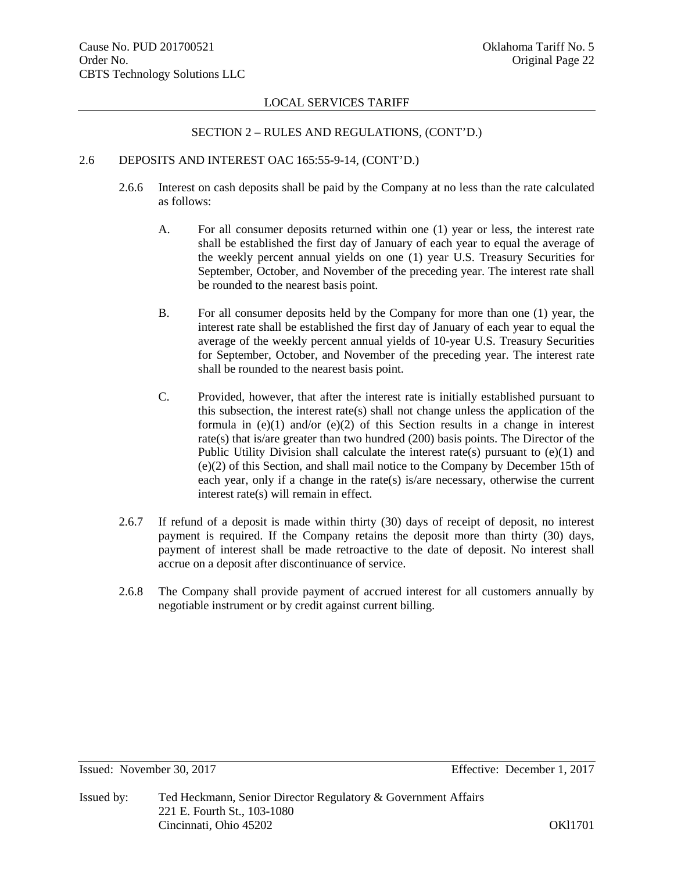#### SECTION 2 – RULES AND REGULATIONS, (CONT'D.)

#### 2.6 DEPOSITS AND INTEREST OAC 165:55-9-14, (CONT'D.)

- 2.6.6 Interest on cash deposits shall be paid by the Company at no less than the rate calculated as follows:
	- A. For all consumer deposits returned within one (1) year or less, the interest rate shall be established the first day of January of each year to equal the average of the weekly percent annual yields on one (1) year U.S. Treasury Securities for September, October, and November of the preceding year. The interest rate shall be rounded to the nearest basis point.
	- B. For all consumer deposits held by the Company for more than one (1) year, the interest rate shall be established the first day of January of each year to equal the average of the weekly percent annual yields of 10-year U.S. Treasury Securities for September, October, and November of the preceding year. The interest rate shall be rounded to the nearest basis point.
	- C. Provided, however, that after the interest rate is initially established pursuant to this subsection, the interest rate(s) shall not change unless the application of the formula in  $(e)(1)$  and/or  $(e)(2)$  of this Section results in a change in interest rate(s) that is/are greater than two hundred (200) basis points. The Director of the Public Utility Division shall calculate the interest rate(s) pursuant to  $(e)(1)$  and (e)(2) of this Section, and shall mail notice to the Company by December 15th of each year, only if a change in the rate(s) is/are necessary, otherwise the current interest rate(s) will remain in effect.
- 2.6.7 If refund of a deposit is made within thirty (30) days of receipt of deposit, no interest payment is required. If the Company retains the deposit more than thirty (30) days, payment of interest shall be made retroactive to the date of deposit. No interest shall accrue on a deposit after discontinuance of service.
- 2.6.8 The Company shall provide payment of accrued interest for all customers annually by negotiable instrument or by credit against current billing.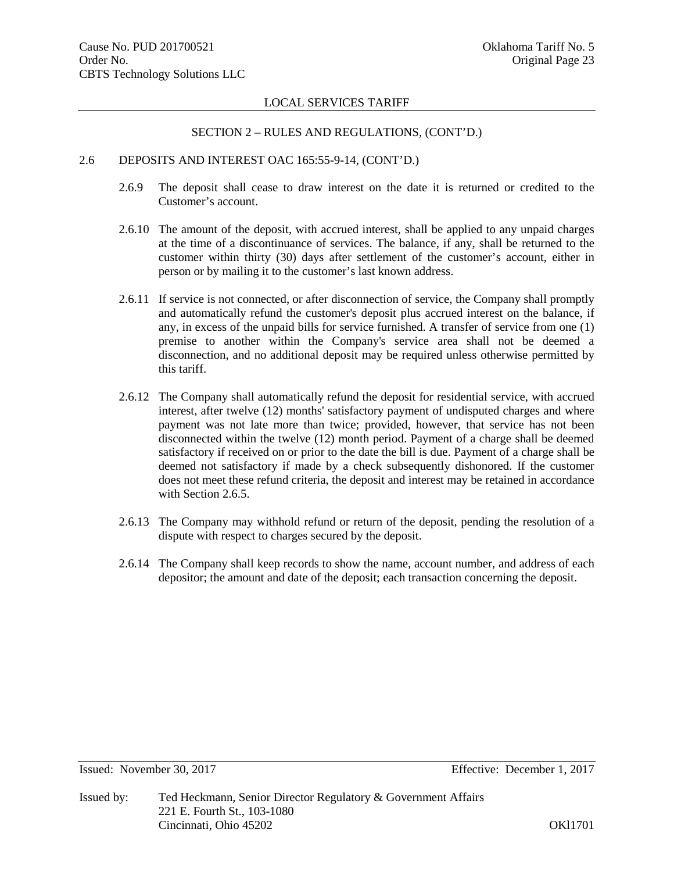#### SECTION 2 – RULES AND REGULATIONS, (CONT'D.)

# 2.6 DEPOSITS AND INTEREST OAC 165:55-9-14, (CONT'D.)

- 2.6.9 The deposit shall cease to draw interest on the date it is returned or credited to the Customer's account.
- 2.6.10 The amount of the deposit, with accrued interest, shall be applied to any unpaid charges at the time of a discontinuance of services. The balance, if any, shall be returned to the customer within thirty (30) days after settlement of the customer's account, either in person or by mailing it to the customer's last known address.
- 2.6.11 If service is not connected, or after disconnection of service, the Company shall promptly and automatically refund the customer's deposit plus accrued interest on the balance, if any, in excess of the unpaid bills for service furnished. A transfer of service from one (1) premise to another within the Company's service area shall not be deemed a disconnection, and no additional deposit may be required unless otherwise permitted by this tariff.
- 2.6.12 The Company shall automatically refund the deposit for residential service, with accrued interest, after twelve (12) months' satisfactory payment of undisputed charges and where payment was not late more than twice; provided, however, that service has not been disconnected within the twelve (12) month period. Payment of a charge shall be deemed satisfactory if received on or prior to the date the bill is due. Payment of a charge shall be deemed not satisfactory if made by a check subsequently dishonored. If the customer does not meet these refund criteria, the deposit and interest may be retained in accordance with Section 2.6.5.
- 2.6.13 The Company may withhold refund or return of the deposit, pending the resolution of a dispute with respect to charges secured by the deposit.
- 2.6.14 The Company shall keep records to show the name, account number, and address of each depositor; the amount and date of the deposit; each transaction concerning the deposit.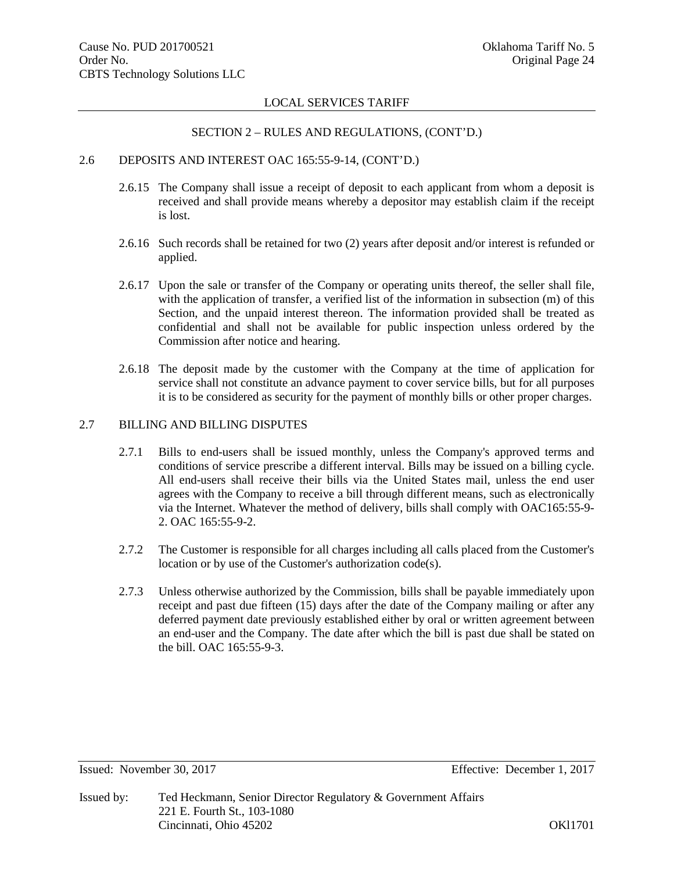# SECTION 2 – RULES AND REGULATIONS, (CONT'D.)

# 2.6 DEPOSITS AND INTEREST OAC 165:55-9-14, (CONT'D.)

- 2.6.15 The Company shall issue a receipt of deposit to each applicant from whom a deposit is received and shall provide means whereby a depositor may establish claim if the receipt is lost.
- 2.6.16 Such records shall be retained for two (2) years after deposit and/or interest is refunded or applied.
- 2.6.17 Upon the sale or transfer of the Company or operating units thereof, the seller shall file, with the application of transfer, a verified list of the information in subsection (m) of this Section, and the unpaid interest thereon. The information provided shall be treated as confidential and shall not be available for public inspection unless ordered by the Commission after notice and hearing.
- 2.6.18 The deposit made by the customer with the Company at the time of application for service shall not constitute an advance payment to cover service bills, but for all purposes it is to be considered as security for the payment of monthly bills or other proper charges.

# 2.7 BILLING AND BILLING DISPUTES

- 2.7.1 Bills to end-users shall be issued monthly, unless the Company's approved terms and conditions of service prescribe a different interval. Bills may be issued on a billing cycle. All end-users shall receive their bills via the United States mail, unless the end user agrees with the Company to receive a bill through different means, such as electronically via the Internet. Whatever the method of delivery, bills shall comply with OAC165:55-9- 2. OAC 165:55-9-2.
- 2.7.2 The Customer is responsible for all charges including all calls placed from the Customer's location or by use of the Customer's authorization code(s).
- 2.7.3 Unless otherwise authorized by the Commission, bills shall be payable immediately upon receipt and past due fifteen (15) days after the date of the Company mailing or after any deferred payment date previously established either by oral or written agreement between an end-user and the Company. The date after which the bill is past due shall be stated on the bill. OAC 165:55-9-3.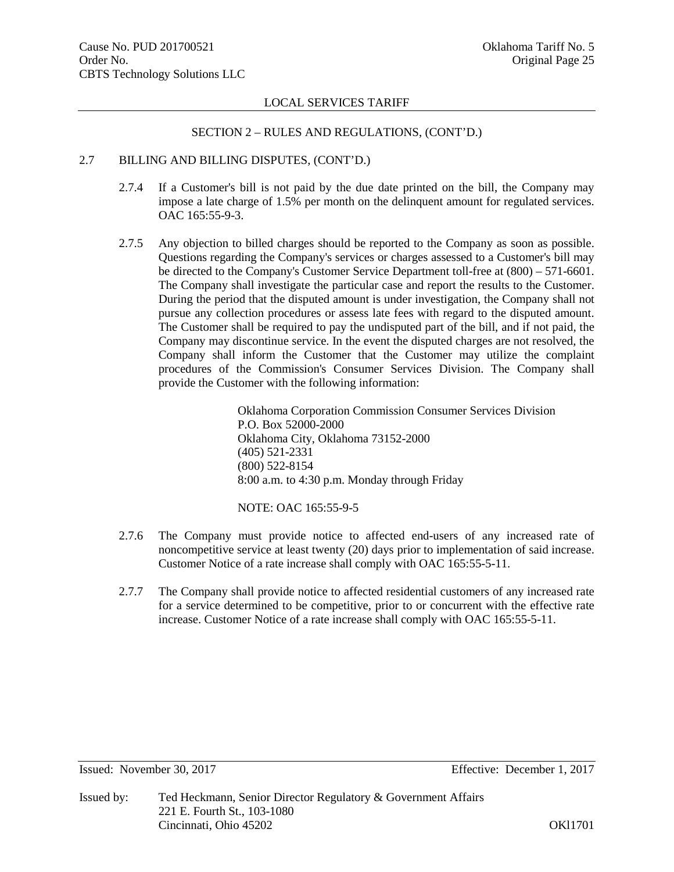#### SECTION 2 – RULES AND REGULATIONS, (CONT'D.)

# 2.7 BILLING AND BILLING DISPUTES, (CONT'D.)

- 2.7.4 If a Customer's bill is not paid by the due date printed on the bill, the Company may impose a late charge of 1.5% per month on the delinquent amount for regulated services. OAC 165:55-9-3.
- 2.7.5 Any objection to billed charges should be reported to the Company as soon as possible. Questions regarding the Company's services or charges assessed to a Customer's bill may be directed to the Company's Customer Service Department toll-free at (800) – 571-6601. The Company shall investigate the particular case and report the results to the Customer. During the period that the disputed amount is under investigation, the Company shall not pursue any collection procedures or assess late fees with regard to the disputed amount. The Customer shall be required to pay the undisputed part of the bill, and if not paid, the Company may discontinue service. In the event the disputed charges are not resolved, the Company shall inform the Customer that the Customer may utilize the complaint procedures of the Commission's Consumer Services Division. The Company shall provide the Customer with the following information:

Oklahoma Corporation Commission Consumer Services Division P.O. Box 52000-2000 Oklahoma City, Oklahoma 73152-2000 (405) 521-2331 (800) 522-8154 8:00 a.m. to 4:30 p.m. Monday through Friday

NOTE: OAC 165:55-9-5

- 2.7.6 The Company must provide notice to affected end-users of any increased rate of noncompetitive service at least twenty (20) days prior to implementation of said increase. Customer Notice of a rate increase shall comply with OAC 165:55-5-11.
- 2.7.7 The Company shall provide notice to affected residential customers of any increased rate for a service determined to be competitive, prior to or concurrent with the effective rate increase. Customer Notice of a rate increase shall comply with OAC 165:55-5-11.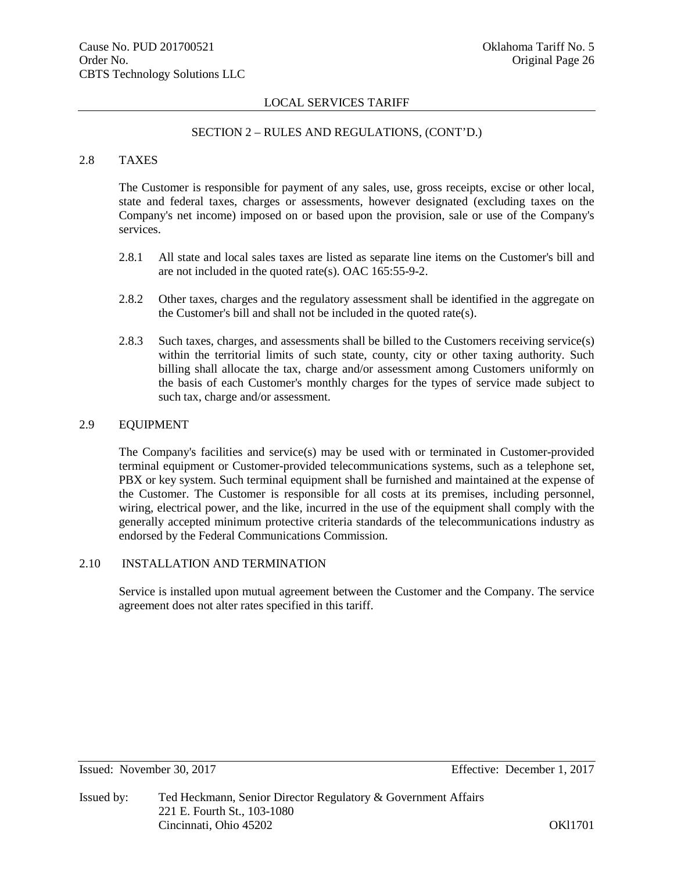#### SECTION 2 – RULES AND REGULATIONS, (CONT'D.)

# 2.8 TAXES

The Customer is responsible for payment of any sales, use, gross receipts, excise or other local, state and federal taxes, charges or assessments, however designated (excluding taxes on the Company's net income) imposed on or based upon the provision, sale or use of the Company's services.

- 2.8.1 All state and local sales taxes are listed as separate line items on the Customer's bill and are not included in the quoted rate(s). OAC 165:55-9-2.
- 2.8.2 Other taxes, charges and the regulatory assessment shall be identified in the aggregate on the Customer's bill and shall not be included in the quoted rate(s).
- 2.8.3 Such taxes, charges, and assessments shall be billed to the Customers receiving service(s) within the territorial limits of such state, county, city or other taxing authority. Such billing shall allocate the tax, charge and/or assessment among Customers uniformly on the basis of each Customer's monthly charges for the types of service made subject to such tax, charge and/or assessment.

# 2.9 EQUIPMENT

The Company's facilities and service(s) may be used with or terminated in Customer-provided terminal equipment or Customer-provided telecommunications systems, such as a telephone set, PBX or key system. Such terminal equipment shall be furnished and maintained at the expense of the Customer. The Customer is responsible for all costs at its premises, including personnel, wiring, electrical power, and the like, incurred in the use of the equipment shall comply with the generally accepted minimum protective criteria standards of the telecommunications industry as endorsed by the Federal Communications Commission.

#### 2.10 INSTALLATION AND TERMINATION

Service is installed upon mutual agreement between the Customer and the Company. The service agreement does not alter rates specified in this tariff.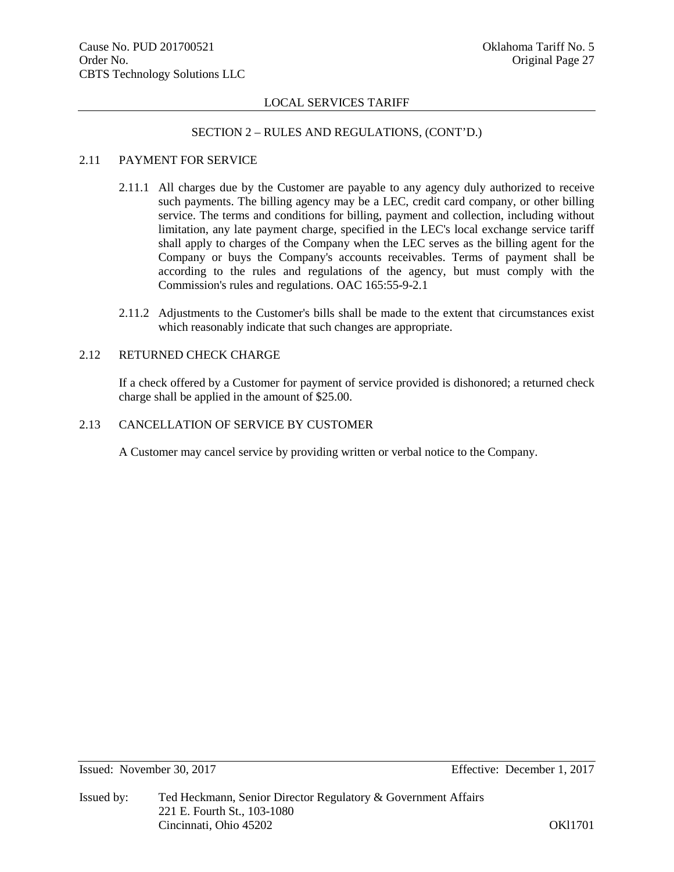# SECTION 2 – RULES AND REGULATIONS, (CONT'D.)

# 2.11 PAYMENT FOR SERVICE

- 2.11.1 All charges due by the Customer are payable to any agency duly authorized to receive such payments. The billing agency may be a LEC, credit card company, or other billing service. The terms and conditions for billing, payment and collection, including without limitation, any late payment charge, specified in the LEC's local exchange service tariff shall apply to charges of the Company when the LEC serves as the billing agent for the Company or buys the Company's accounts receivables. Terms of payment shall be according to the rules and regulations of the agency, but must comply with the Commission's rules and regulations. OAC 165:55-9-2.1
- 2.11.2 Adjustments to the Customer's bills shall be made to the extent that circumstances exist which reasonably indicate that such changes are appropriate.

#### 2.12 RETURNED CHECK CHARGE

If a check offered by a Customer for payment of service provided is dishonored; a returned check charge shall be applied in the amount of \$25.00.

# 2.13 CANCELLATION OF SERVICE BY CUSTOMER

A Customer may cancel service by providing written or verbal notice to the Company.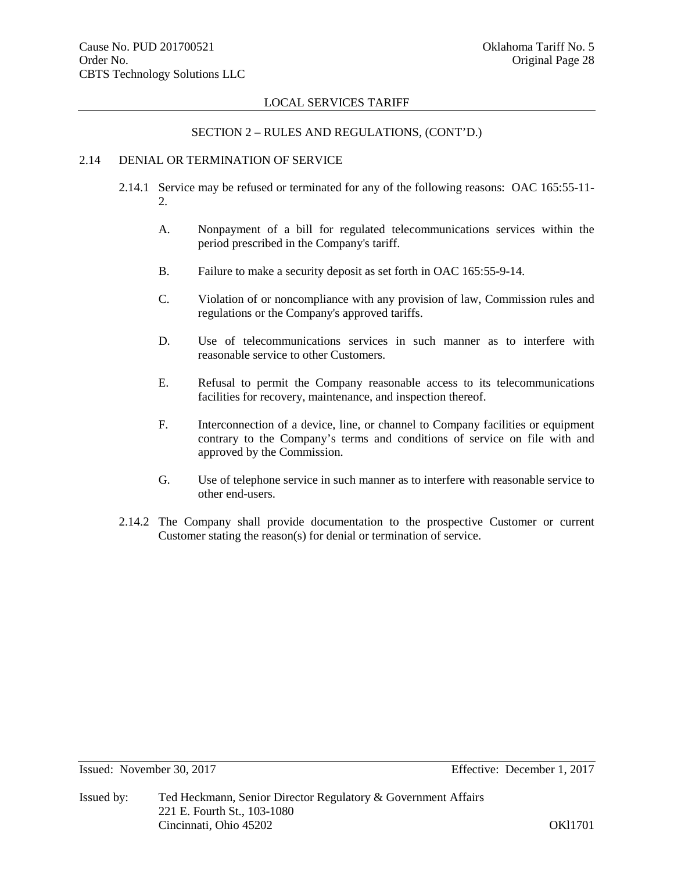#### SECTION 2 – RULES AND REGULATIONS, (CONT'D.)

# 2.14 DENIAL OR TERMINATION OF SERVICE

- 2.14.1 Service may be refused or terminated for any of the following reasons: OAC 165:55-11- 2.
	- A. Nonpayment of a bill for regulated telecommunications services within the period prescribed in the Company's tariff.
	- B. Failure to make a security deposit as set forth in OAC 165:55-9-14.
	- C. Violation of or noncompliance with any provision of law, Commission rules and regulations or the Company's approved tariffs.
	- D. Use of telecommunications services in such manner as to interfere with reasonable service to other Customers.
	- E. Refusal to permit the Company reasonable access to its telecommunications facilities for recovery, maintenance, and inspection thereof.
	- F. Interconnection of a device, line, or channel to Company facilities or equipment contrary to the Company's terms and conditions of service on file with and approved by the Commission.
	- G. Use of telephone service in such manner as to interfere with reasonable service to other end-users.
- 2.14.2 The Company shall provide documentation to the prospective Customer or current Customer stating the reason(s) for denial or termination of service.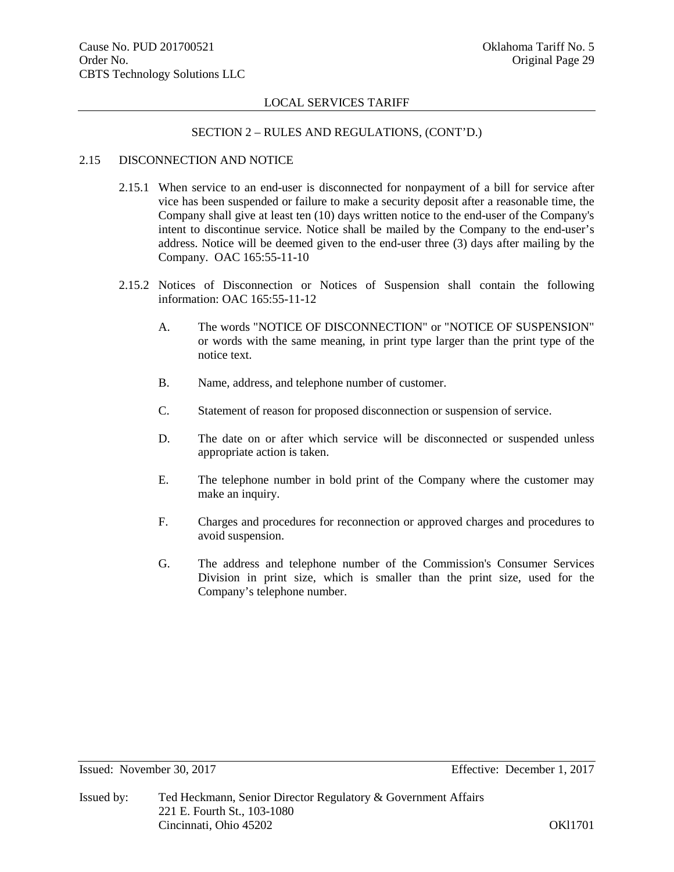#### SECTION 2 – RULES AND REGULATIONS, (CONT'D.)

# 2.15 DISCONNECTION AND NOTICE

- 2.15.1 When service to an end-user is disconnected for nonpayment of a bill for service after vice has been suspended or failure to make a security deposit after a reasonable time, the Company shall give at least ten (10) days written notice to the end-user of the Company's intent to discontinue service. Notice shall be mailed by the Company to the end-user's address. Notice will be deemed given to the end-user three (3) days after mailing by the Company. OAC 165:55-11-10
- 2.15.2 Notices of Disconnection or Notices of Suspension shall contain the following information: OAC 165:55-11-12
	- A. The words "NOTICE OF DISCONNECTION" or "NOTICE OF SUSPENSION" or words with the same meaning, in print type larger than the print type of the notice text.
	- B. Name, address, and telephone number of customer.
	- C. Statement of reason for proposed disconnection or suspension of service.
	- D. The date on or after which service will be disconnected or suspended unless appropriate action is taken.
	- E. The telephone number in bold print of the Company where the customer may make an inquiry.
	- F. Charges and procedures for reconnection or approved charges and procedures to avoid suspension.
	- G. The address and telephone number of the Commission's Consumer Services Division in print size, which is smaller than the print size, used for the Company's telephone number.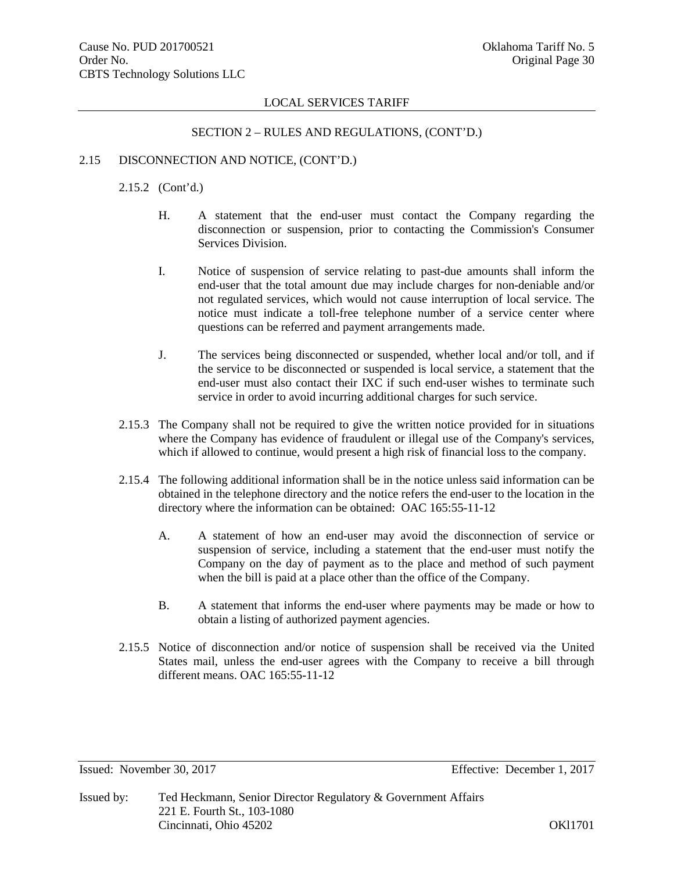#### SECTION 2 – RULES AND REGULATIONS, (CONT'D.)

#### 2.15 DISCONNECTION AND NOTICE, (CONT'D.)

2.15.2 (Cont'd.)

- H. A statement that the end-user must contact the Company regarding the disconnection or suspension, prior to contacting the Commission's Consumer Services Division.
- I. Notice of suspension of service relating to past-due amounts shall inform the end-user that the total amount due may include charges for non-deniable and/or not regulated services, which would not cause interruption of local service. The notice must indicate a toll-free telephone number of a service center where questions can be referred and payment arrangements made.
- J. The services being disconnected or suspended, whether local and/or toll, and if the service to be disconnected or suspended is local service, a statement that the end-user must also contact their IXC if such end-user wishes to terminate such service in order to avoid incurring additional charges for such service.
- 2.15.3 The Company shall not be required to give the written notice provided for in situations where the Company has evidence of fraudulent or illegal use of the Company's services, which if allowed to continue, would present a high risk of financial loss to the company.
- 2.15.4 The following additional information shall be in the notice unless said information can be obtained in the telephone directory and the notice refers the end-user to the location in the directory where the information can be obtained: OAC 165:55-11-12
	- A. A statement of how an end-user may avoid the disconnection of service or suspension of service, including a statement that the end-user must notify the Company on the day of payment as to the place and method of such payment when the bill is paid at a place other than the office of the Company.
	- B. A statement that informs the end-user where payments may be made or how to obtain a listing of authorized payment agencies.
- 2.15.5 Notice of disconnection and/or notice of suspension shall be received via the United States mail, unless the end-user agrees with the Company to receive a bill through different means. OAC 165:55-11-12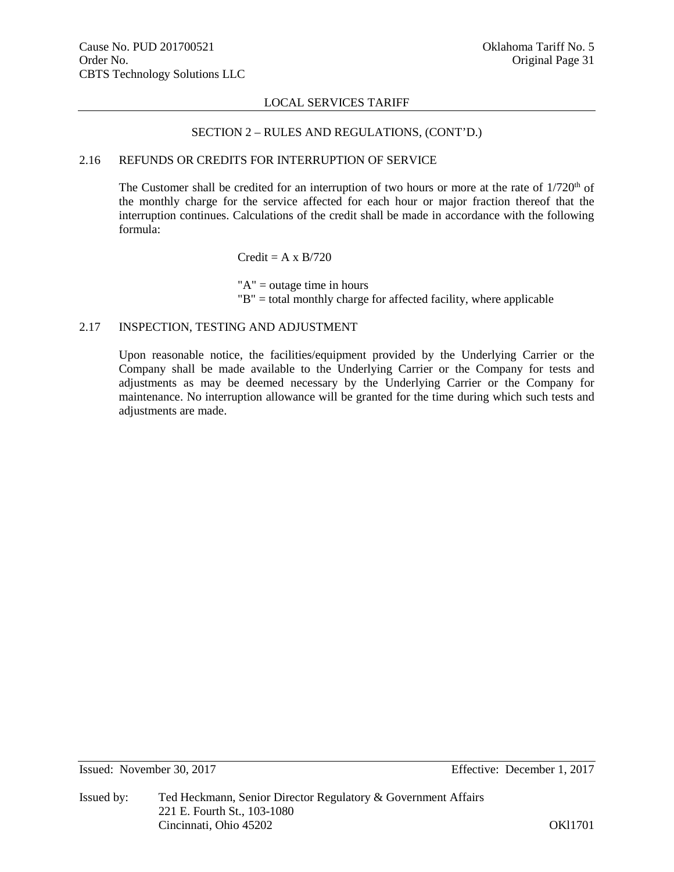#### SECTION 2 – RULES AND REGULATIONS, (CONT'D.)

# 2.16 REFUNDS OR CREDITS FOR INTERRUPTION OF SERVICE

The Customer shall be credited for an interruption of two hours or more at the rate of  $1/720<sup>th</sup>$  of the monthly charge for the service affected for each hour or major fraction thereof that the interruption continues. Calculations of the credit shall be made in accordance with the following formula:

#### $Credit = A \times B/720$

"A" = outage time in hours "B" = total monthly charge for affected facility, where applicable

# 2.17 INSPECTION, TESTING AND ADJUSTMENT

Upon reasonable notice, the facilities/equipment provided by the Underlying Carrier or the Company shall be made available to the Underlying Carrier or the Company for tests and adjustments as may be deemed necessary by the Underlying Carrier or the Company for maintenance. No interruption allowance will be granted for the time during which such tests and adjustments are made.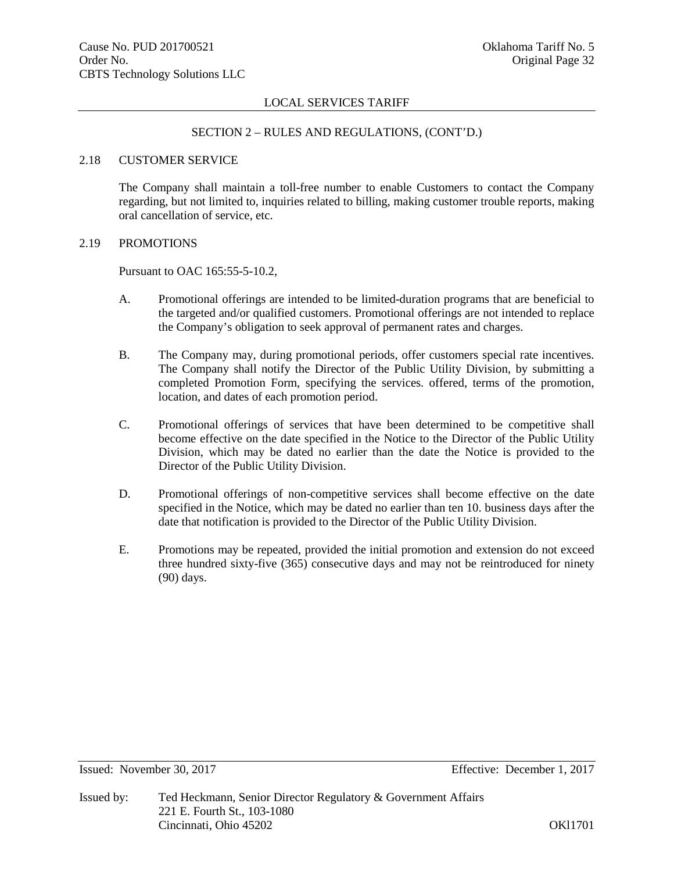#### SECTION 2 – RULES AND REGULATIONS, (CONT'D.)

#### 2.18 CUSTOMER SERVICE

The Company shall maintain a toll-free number to enable Customers to contact the Company regarding, but not limited to, inquiries related to billing, making customer trouble reports, making oral cancellation of service, etc.

# 2.19 PROMOTIONS

Pursuant to OAC 165:55-5-10.2,

- A. Promotional offerings are intended to be limited-duration programs that are beneficial to the targeted and/or qualified customers. Promotional offerings are not intended to replace the Company's obligation to seek approval of permanent rates and charges.
- B. The Company may, during promotional periods, offer customers special rate incentives. The Company shall notify the Director of the Public Utility Division, by submitting a completed Promotion Form, specifying the services. offered, terms of the promotion, location, and dates of each promotion period.
- C. Promotional offerings of services that have been determined to be competitive shall become effective on the date specified in the Notice to the Director of the Public Utility Division, which may be dated no earlier than the date the Notice is provided to the Director of the Public Utility Division.
- D. Promotional offerings of non-competitive services shall become effective on the date specified in the Notice, which may be dated no earlier than ten 10. business days after the date that notification is provided to the Director of the Public Utility Division.
- E. Promotions may be repeated, provided the initial promotion and extension do not exceed three hundred sixty-five (365) consecutive days and may not be reintroduced for ninety (90) days.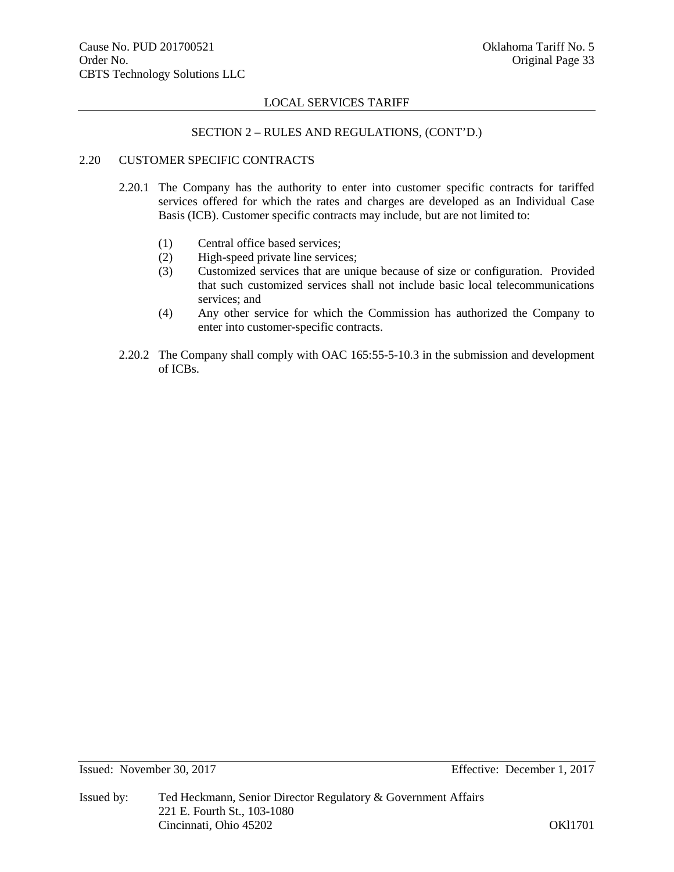# SECTION 2 – RULES AND REGULATIONS, (CONT'D.)

# 2.20 CUSTOMER SPECIFIC CONTRACTS

- 2.20.1 The Company has the authority to enter into customer specific contracts for tariffed services offered for which the rates and charges are developed as an Individual Case Basis (ICB). Customer specific contracts may include, but are not limited to:
	- (1) Central office based services;
	- (2) High-speed private line services;
	- (3) Customized services that are unique because of size or configuration. Provided that such customized services shall not include basic local telecommunications services; and
	- (4) Any other service for which the Commission has authorized the Company to enter into customer-specific contracts.
- 2.20.2 The Company shall comply with OAC 165:55-5-10.3 in the submission and development of ICBs.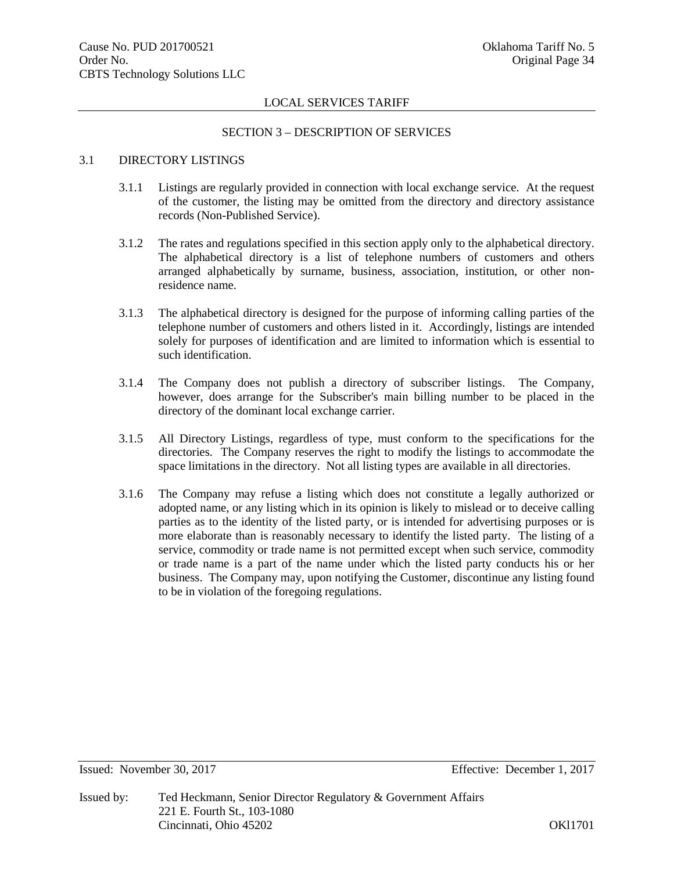#### SECTION 3 – DESCRIPTION OF SERVICES

# 3.1 DIRECTORY LISTINGS

- 3.1.1 Listings are regularly provided in connection with local exchange service. At the request of the customer, the listing may be omitted from the directory and directory assistance records (Non-Published Service).
- 3.1.2 The rates and regulations specified in this section apply only to the alphabetical directory. The alphabetical directory is a list of telephone numbers of customers and others arranged alphabetically by surname, business, association, institution, or other nonresidence name.
- 3.1.3 The alphabetical directory is designed for the purpose of informing calling parties of the telephone number of customers and others listed in it. Accordingly, listings are intended solely for purposes of identification and are limited to information which is essential to such identification.
- 3.1.4 The Company does not publish a directory of subscriber listings. The Company, however, does arrange for the Subscriber's main billing number to be placed in the directory of the dominant local exchange carrier.
- 3.1.5 All Directory Listings, regardless of type, must conform to the specifications for the directories. The Company reserves the right to modify the listings to accommodate the space limitations in the directory. Not all listing types are available in all directories.
- 3.1.6 The Company may refuse a listing which does not constitute a legally authorized or adopted name, or any listing which in its opinion is likely to mislead or to deceive calling parties as to the identity of the listed party, or is intended for advertising purposes or is more elaborate than is reasonably necessary to identify the listed party. The listing of a service, commodity or trade name is not permitted except when such service, commodity or trade name is a part of the name under which the listed party conducts his or her business. The Company may, upon notifying the Customer, discontinue any listing found to be in violation of the foregoing regulations.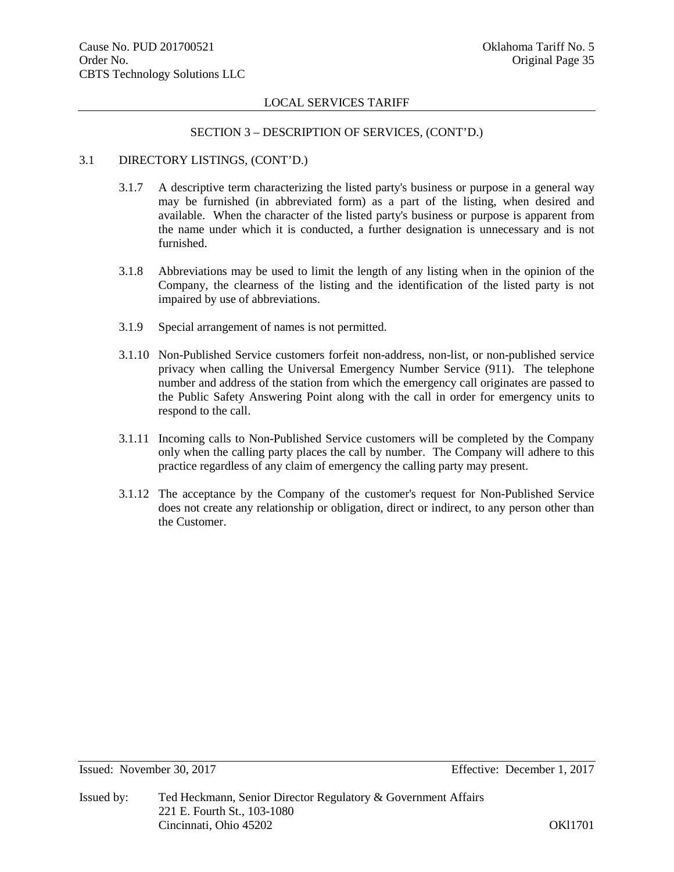#### SECTION 3 – DESCRIPTION OF SERVICES, (CONT'D.)

#### 3.1 DIRECTORY LISTINGS, (CONT'D.)

- 3.1.7 A descriptive term characterizing the listed party's business or purpose in a general way may be furnished (in abbreviated form) as a part of the listing, when desired and available. When the character of the listed party's business or purpose is apparent from the name under which it is conducted, a further designation is unnecessary and is not furnished.
- 3.1.8 Abbreviations may be used to limit the length of any listing when in the opinion of the Company, the clearness of the listing and the identification of the listed party is not impaired by use of abbreviations.
- 3.1.9 Special arrangement of names is not permitted.
- 3.1.10 Non-Published Service customers forfeit non-address, non-list, or non-published service privacy when calling the Universal Emergency Number Service (911). The telephone number and address of the station from which the emergency call originates are passed to the Public Safety Answering Point along with the call in order for emergency units to respond to the call.
- 3.1.11 Incoming calls to Non-Published Service customers will be completed by the Company only when the calling party places the call by number. The Company will adhere to this practice regardless of any claim of emergency the calling party may present.
- 3.1.12 The acceptance by the Company of the customer's request for Non-Published Service does not create any relationship or obligation, direct or indirect, to any person other than the Customer.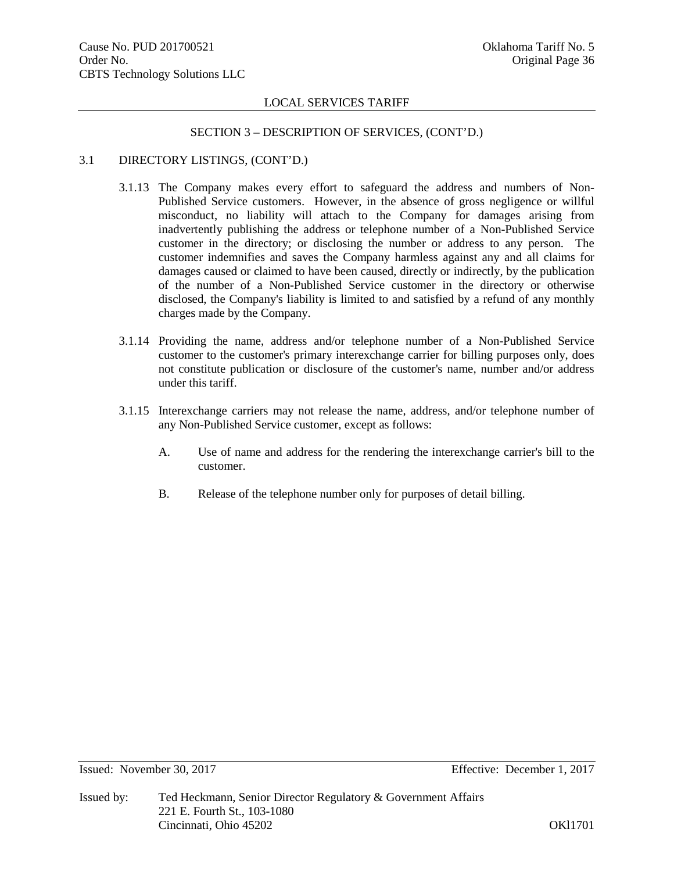#### SECTION 3 – DESCRIPTION OF SERVICES, (CONT'D.)

# 3.1 DIRECTORY LISTINGS, (CONT'D.)

- 3.1.13 The Company makes every effort to safeguard the address and numbers of Non-Published Service customers. However, in the absence of gross negligence or willful misconduct, no liability will attach to the Company for damages arising from inadvertently publishing the address or telephone number of a Non-Published Service customer in the directory; or disclosing the number or address to any person. The customer indemnifies and saves the Company harmless against any and all claims for damages caused or claimed to have been caused, directly or indirectly, by the publication of the number of a Non-Published Service customer in the directory or otherwise disclosed, the Company's liability is limited to and satisfied by a refund of any monthly charges made by the Company.
- 3.1.14 Providing the name, address and/or telephone number of a Non-Published Service customer to the customer's primary interexchange carrier for billing purposes only, does not constitute publication or disclosure of the customer's name, number and/or address under this tariff.
- 3.1.15 Interexchange carriers may not release the name, address, and/or telephone number of any Non-Published Service customer, except as follows:
	- A. Use of name and address for the rendering the interexchange carrier's bill to the customer.
	- B. Release of the telephone number only for purposes of detail billing.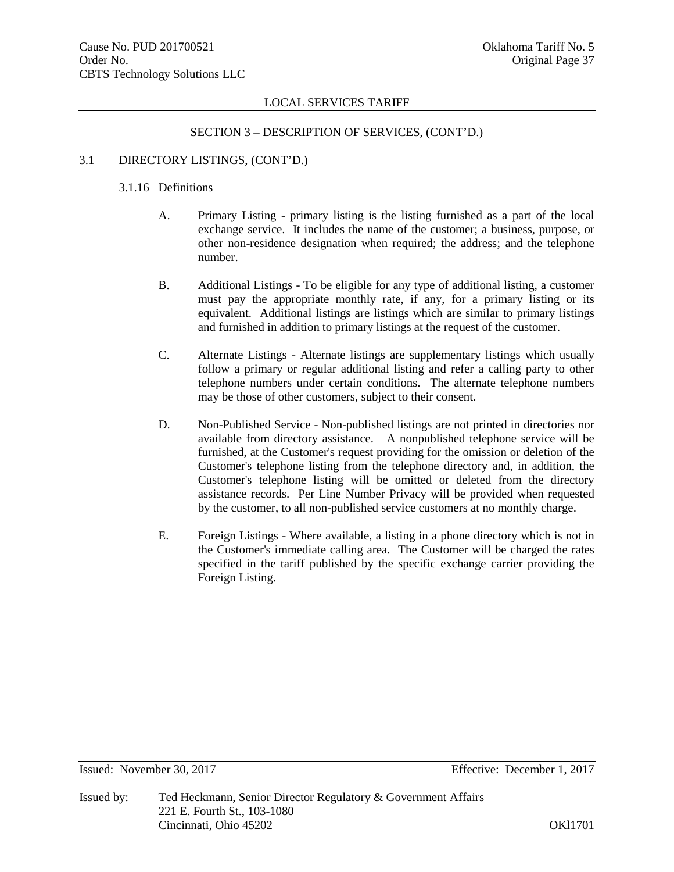#### SECTION 3 – DESCRIPTION OF SERVICES, (CONT'D.)

# 3.1 DIRECTORY LISTINGS, (CONT'D.)

# 3.1.16 Definitions

- A. Primary Listing primary listing is the listing furnished as a part of the local exchange service. It includes the name of the customer; a business, purpose, or other non-residence designation when required; the address; and the telephone number.
- B. Additional Listings To be eligible for any type of additional listing, a customer must pay the appropriate monthly rate, if any, for a primary listing or its equivalent. Additional listings are listings which are similar to primary listings and furnished in addition to primary listings at the request of the customer.
- C. Alternate Listings Alternate listings are supplementary listings which usually follow a primary or regular additional listing and refer a calling party to other telephone numbers under certain conditions. The alternate telephone numbers may be those of other customers, subject to their consent.
- D. Non-Published Service Non-published listings are not printed in directories nor available from directory assistance. A nonpublished telephone service will be furnished, at the Customer's request providing for the omission or deletion of the Customer's telephone listing from the telephone directory and, in addition, the Customer's telephone listing will be omitted or deleted from the directory assistance records. Per Line Number Privacy will be provided when requested by the customer, to all non-published service customers at no monthly charge.
- E. Foreign Listings Where available, a listing in a phone directory which is not in the Customer's immediate calling area. The Customer will be charged the rates specified in the tariff published by the specific exchange carrier providing the Foreign Listing.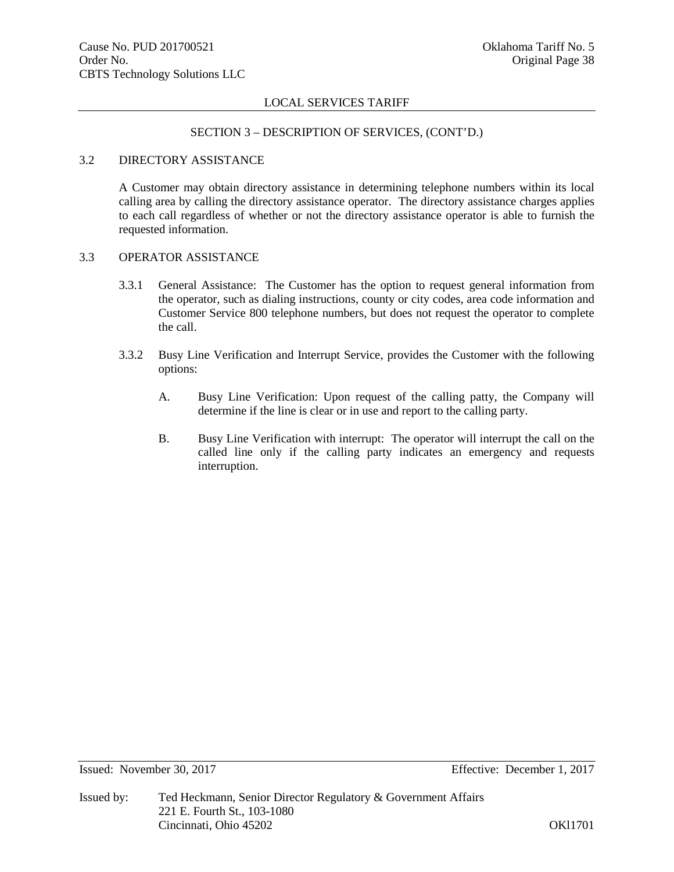#### SECTION 3 – DESCRIPTION OF SERVICES, (CONT'D.)

### 3.2 DIRECTORY ASSISTANCE

A Customer may obtain directory assistance in determining telephone numbers within its local calling area by calling the directory assistance operator. The directory assistance charges applies to each call regardless of whether or not the directory assistance operator is able to furnish the requested information.

# 3.3 OPERATOR ASSISTANCE

- 3.3.1 General Assistance: The Customer has the option to request general information from the operator, such as dialing instructions, county or city codes, area code information and Customer Service 800 telephone numbers, but does not request the operator to complete the call.
- 3.3.2 Busy Line Verification and Interrupt Service, provides the Customer with the following options:
	- A. Busy Line Verification: Upon request of the calling patty, the Company will determine if the line is clear or in use and report to the calling party.
	- B. Busy Line Verification with interrupt: The operator will interrupt the call on the called line only if the calling party indicates an emergency and requests interruption.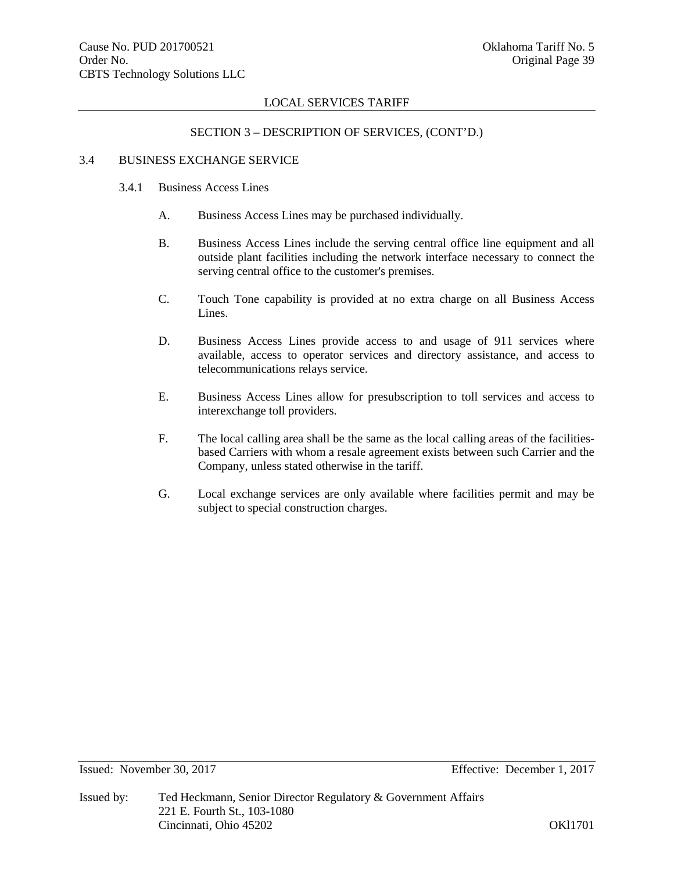# SECTION 3 – DESCRIPTION OF SERVICES, (CONT'D.)

# 3.4 BUSINESS EXCHANGE SERVICE

- 3.4.1 Business Access Lines
	- A. Business Access Lines may be purchased individually.
	- B. Business Access Lines include the serving central office line equipment and all outside plant facilities including the network interface necessary to connect the serving central office to the customer's premises.
	- C. Touch Tone capability is provided at no extra charge on all Business Access Lines.
	- D. Business Access Lines provide access to and usage of 911 services where available, access to operator services and directory assistance, and access to telecommunications relays service.
	- E. Business Access Lines allow for presubscription to toll services and access to interexchange toll providers.
	- F. The local calling area shall be the same as the local calling areas of the facilitiesbased Carriers with whom a resale agreement exists between such Carrier and the Company, unless stated otherwise in the tariff.
	- G. Local exchange services are only available where facilities permit and may be subject to special construction charges.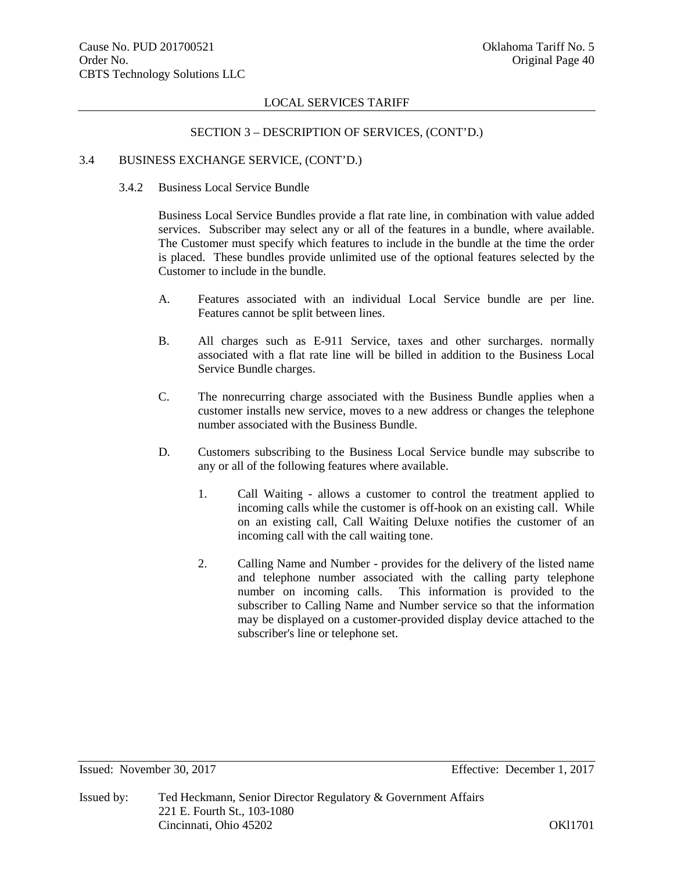# SECTION 3 – DESCRIPTION OF SERVICES, (CONT'D.)

#### 3.4 BUSINESS EXCHANGE SERVICE, (CONT'D.)

# 3.4.2 Business Local Service Bundle

Business Local Service Bundles provide a flat rate line, in combination with value added services. Subscriber may select any or all of the features in a bundle, where available. The Customer must specify which features to include in the bundle at the time the order is placed. These bundles provide unlimited use of the optional features selected by the Customer to include in the bundle.

- A. Features associated with an individual Local Service bundle are per line. Features cannot be split between lines.
- B. All charges such as E-911 Service, taxes and other surcharges. normally associated with a flat rate line will be billed in addition to the Business Local Service Bundle charges.
- C. The nonrecurring charge associated with the Business Bundle applies when a customer installs new service, moves to a new address or changes the telephone number associated with the Business Bundle.
- D. Customers subscribing to the Business Local Service bundle may subscribe to any or all of the following features where available.
	- 1. Call Waiting allows a customer to control the treatment applied to incoming calls while the customer is off-hook on an existing call. While on an existing call, Call Waiting Deluxe notifies the customer of an incoming call with the call waiting tone.
	- 2. Calling Name and Number provides for the delivery of the listed name and telephone number associated with the calling party telephone number on incoming calls. This information is provided to the subscriber to Calling Name and Number service so that the information may be displayed on a customer-provided display device attached to the subscriber's line or telephone set.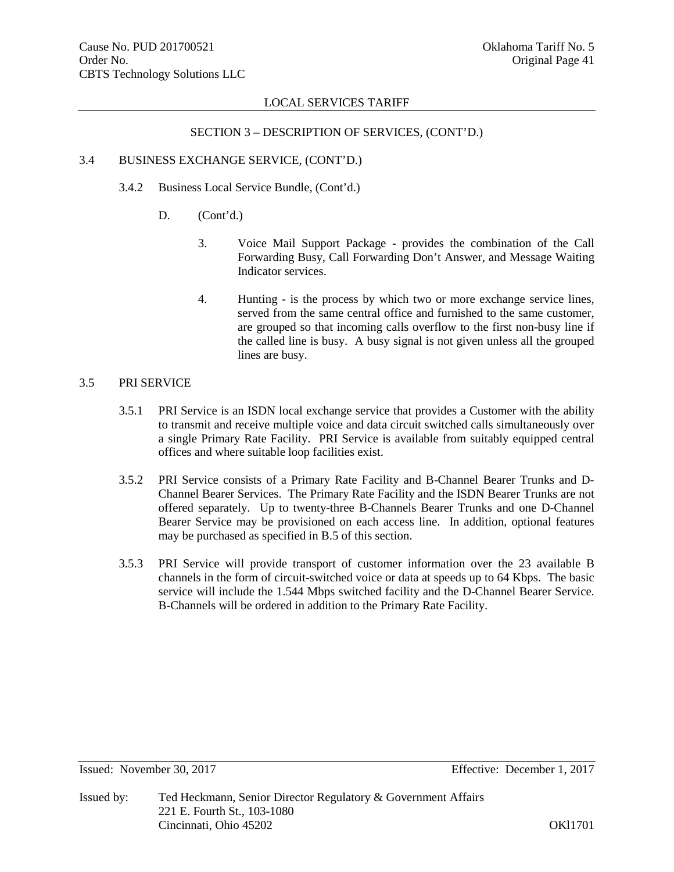# SECTION 3 – DESCRIPTION OF SERVICES, (CONT'D.)

#### 3.4 BUSINESS EXCHANGE SERVICE, (CONT'D.)

- 3.4.2 Business Local Service Bundle, (Cont'd.)
	- D.  $(Cont'd.)$ 
		- 3. Voice Mail Support Package provides the combination of the Call Forwarding Busy, Call Forwarding Don't Answer, and Message Waiting Indicator services.
		- 4. Hunting is the process by which two or more exchange service lines, served from the same central office and furnished to the same customer, are grouped so that incoming calls overflow to the first non-busy line if the called line is busy. A busy signal is not given unless all the grouped lines are busy.

# 3.5 PRI SERVICE

- 3.5.1 PRI Service is an ISDN local exchange service that provides a Customer with the ability to transmit and receive multiple voice and data circuit switched calls simultaneously over a single Primary Rate Facility. PRI Service is available from suitably equipped central offices and where suitable loop facilities exist.
- 3.5.2 PRI Service consists of a Primary Rate Facility and B-Channel Bearer Trunks and D-Channel Bearer Services. The Primary Rate Facility and the ISDN Bearer Trunks are not offered separately. Up to twenty-three B-Channels Bearer Trunks and one D-Channel Bearer Service may be provisioned on each access line. In addition, optional features may be purchased as specified in B.5 of this section.
- 3.5.3 PRI Service will provide transport of customer information over the 23 available B channels in the form of circuit-switched voice or data at speeds up to 64 Kbps. The basic service will include the 1.544 Mbps switched facility and the D-Channel Bearer Service. B-Channels will be ordered in addition to the Primary Rate Facility.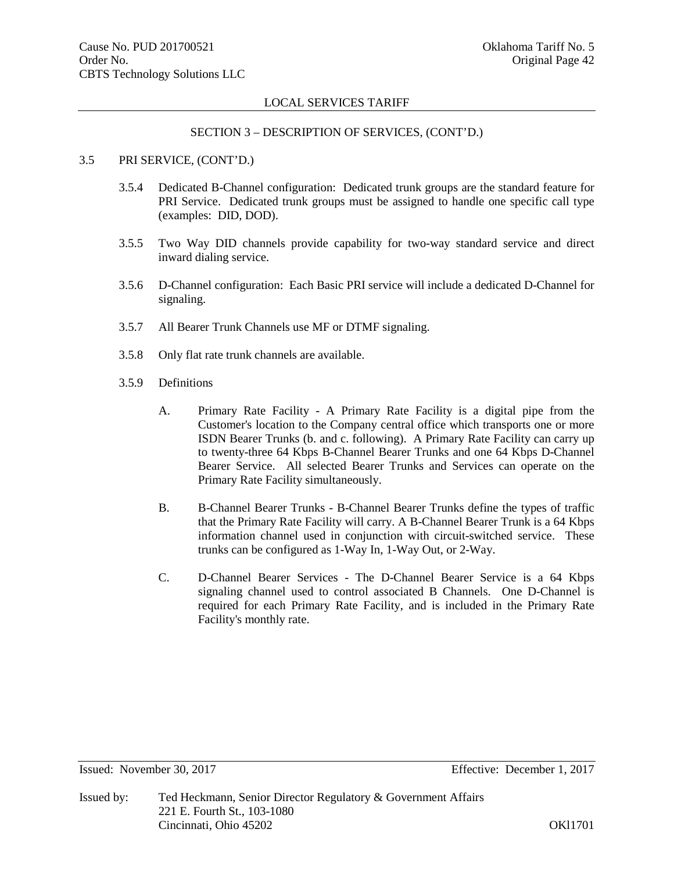#### SECTION 3 – DESCRIPTION OF SERVICES, (CONT'D.)

# 3.5 PRI SERVICE, (CONT'D.)

- 3.5.4 Dedicated B-Channel configuration: Dedicated trunk groups are the standard feature for PRI Service. Dedicated trunk groups must be assigned to handle one specific call type (examples: DID, DOD).
- 3.5.5 Two Way DID channels provide capability for two-way standard service and direct inward dialing service.
- 3.5.6 D-Channel configuration: Each Basic PRI service will include a dedicated D-Channel for signaling.
- 3.5.7 All Bearer Trunk Channels use MF or DTMF signaling.
- 3.5.8 Only flat rate trunk channels are available.
- 3.5.9 Definitions
	- A. Primary Rate Facility A Primary Rate Facility is a digital pipe from the Customer's location to the Company central office which transports one or more ISDN Bearer Trunks (b. and c. following). A Primary Rate Facility can carry up to twenty-three 64 Kbps B-Channel Bearer Trunks and one 64 Kbps D-Channel Bearer Service. All selected Bearer Trunks and Services can operate on the Primary Rate Facility simultaneously.
	- B. B-Channel Bearer Trunks B-Channel Bearer Trunks define the types of traffic that the Primary Rate Facility will carry. A B-Channel Bearer Trunk is a 64 Kbps information channel used in conjunction with circuit-switched service. These trunks can be configured as 1-Way In, 1-Way Out, or 2-Way.
	- C. D-Channel Bearer Services The D-Channel Bearer Service is a 64 Kbps signaling channel used to control associated B Channels. One D-Channel is required for each Primary Rate Facility, and is included in the Primary Rate Facility's monthly rate.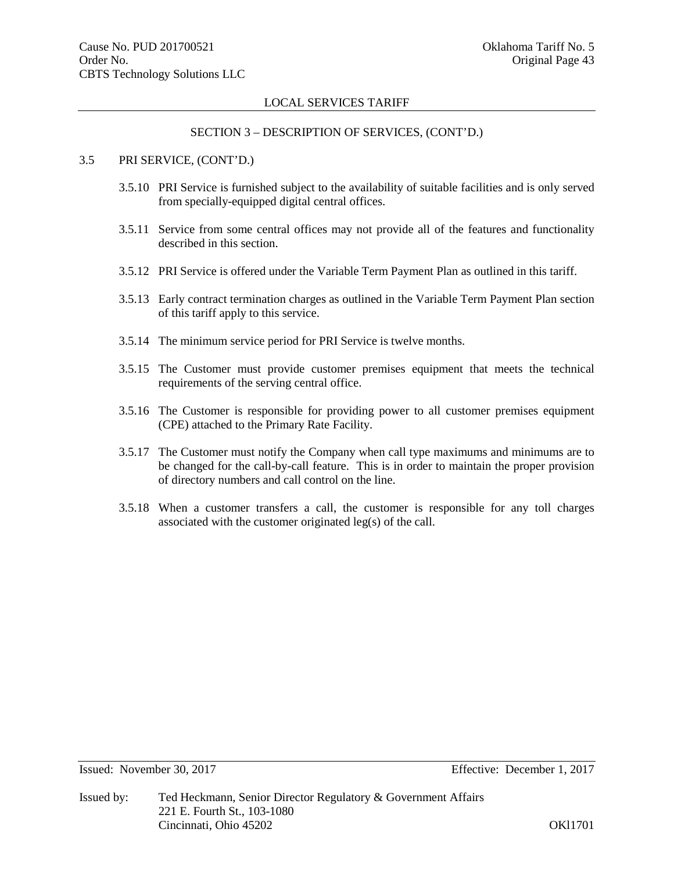# SECTION 3 – DESCRIPTION OF SERVICES, (CONT'D.)

# 3.5 PRI SERVICE, (CONT'D.)

- 3.5.10 PRI Service is furnished subject to the availability of suitable facilities and is only served from specially-equipped digital central offices.
- 3.5.11 Service from some central offices may not provide all of the features and functionality described in this section.
- 3.5.12 PRI Service is offered under the Variable Term Payment Plan as outlined in this tariff.
- 3.5.13 Early contract termination charges as outlined in the Variable Term Payment Plan section of this tariff apply to this service.
- 3.5.14 The minimum service period for PRI Service is twelve months.
- 3.5.15 The Customer must provide customer premises equipment that meets the technical requirements of the serving central office.
- 3.5.16 The Customer is responsible for providing power to all customer premises equipment (CPE) attached to the Primary Rate Facility.
- 3.5.17 The Customer must notify the Company when call type maximums and minimums are to be changed for the call-by-call feature. This is in order to maintain the proper provision of directory numbers and call control on the line.
- 3.5.18 When a customer transfers a call, the customer is responsible for any toll charges associated with the customer originated leg(s) of the call.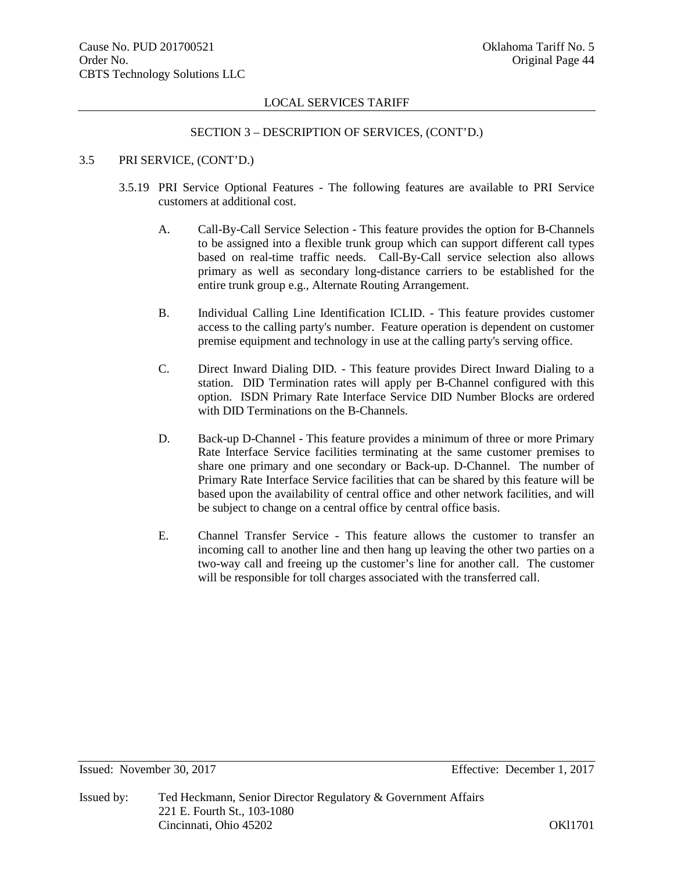#### SECTION 3 – DESCRIPTION OF SERVICES, (CONT'D.)

# 3.5 PRI SERVICE, (CONT'D.)

- 3.5.19 PRI Service Optional Features The following features are available to PRI Service customers at additional cost.
	- A. Call-By-Call Service Selection This feature provides the option for B-Channels to be assigned into a flexible trunk group which can support different call types based on real-time traffic needs. Call-By-Call service selection also allows primary as well as secondary long-distance carriers to be established for the entire trunk group e.g., Alternate Routing Arrangement.
	- B. Individual Calling Line Identification ICLID. This feature provides customer access to the calling party's number. Feature operation is dependent on customer premise equipment and technology in use at the calling party's serving office.
	- C. Direct Inward Dialing DID. This feature provides Direct Inward Dialing to a station. DID Termination rates will apply per B-Channel configured with this option. ISDN Primary Rate Interface Service DID Number Blocks are ordered with DID Terminations on the B-Channels.
	- D. Back-up D-Channel This feature provides a minimum of three or more Primary Rate Interface Service facilities terminating at the same customer premises to share one primary and one secondary or Back-up. D-Channel. The number of Primary Rate Interface Service facilities that can be shared by this feature will be based upon the availability of central office and other network facilities, and will be subject to change on a central office by central office basis.
	- E. Channel Transfer Service This feature allows the customer to transfer an incoming call to another line and then hang up leaving the other two parties on a two-way call and freeing up the customer's line for another call. The customer will be responsible for toll charges associated with the transferred call.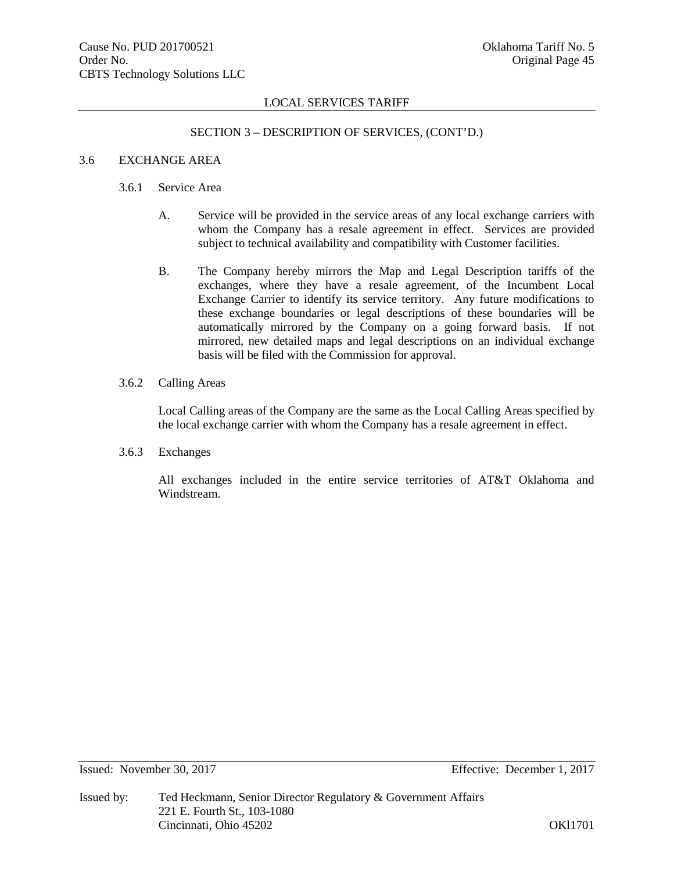# SECTION 3 – DESCRIPTION OF SERVICES, (CONT'D.)

#### 3.6 EXCHANGE AREA

# 3.6.1 Service Area

- A. Service will be provided in the service areas of any local exchange carriers with whom the Company has a resale agreement in effect. Services are provided subject to technical availability and compatibility with Customer facilities.
- B. The Company hereby mirrors the Map and Legal Description tariffs of the exchanges, where they have a resale agreement, of the Incumbent Local Exchange Carrier to identify its service territory. Any future modifications to these exchange boundaries or legal descriptions of these boundaries will be automatically mirrored by the Company on a going forward basis. If not mirrored, new detailed maps and legal descriptions on an individual exchange basis will be filed with the Commission for approval.
- 3.6.2 Calling Areas

Local Calling areas of the Company are the same as the Local Calling Areas specified by the local exchange carrier with whom the Company has a resale agreement in effect.

3.6.3 Exchanges

All exchanges included in the entire service territories of AT&T Oklahoma and Windstream.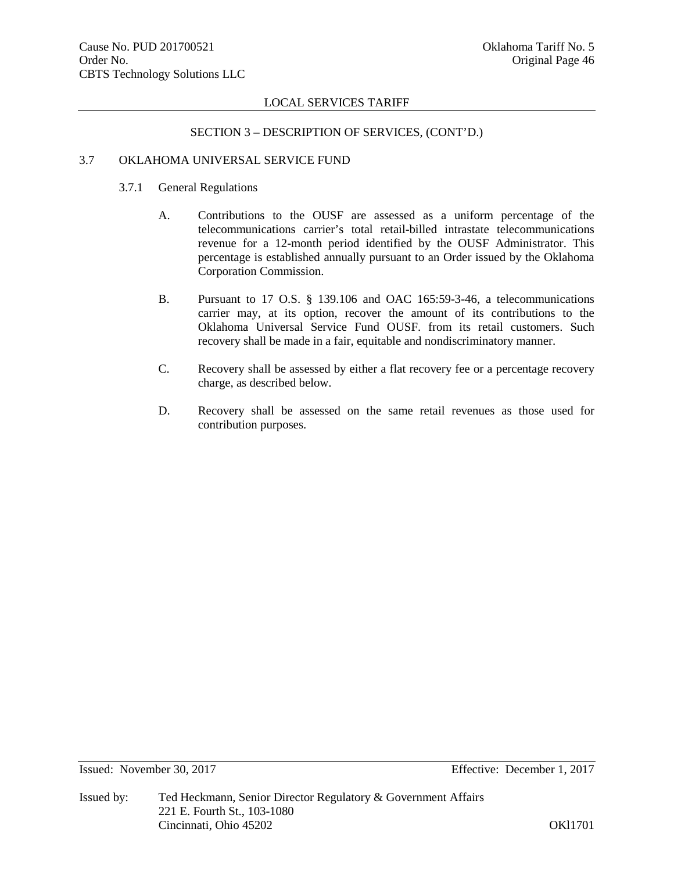# SECTION 3 – DESCRIPTION OF SERVICES, (CONT'D.)

# 3.7 OKLAHOMA UNIVERSAL SERVICE FUND

- 3.7.1 General Regulations
	- A. Contributions to the OUSF are assessed as a uniform percentage of the telecommunications carrier's total retail-billed intrastate telecommunications revenue for a 12-month period identified by the OUSF Administrator. This percentage is established annually pursuant to an Order issued by the Oklahoma Corporation Commission.
	- B. Pursuant to 17 O.S. § 139.106 and OAC 165:59-3-46, a telecommunications carrier may, at its option, recover the amount of its contributions to the Oklahoma Universal Service Fund OUSF. from its retail customers. Such recovery shall be made in a fair, equitable and nondiscriminatory manner.
	- C. Recovery shall be assessed by either a flat recovery fee or a percentage recovery charge, as described below.
	- D. Recovery shall be assessed on the same retail revenues as those used for contribution purposes.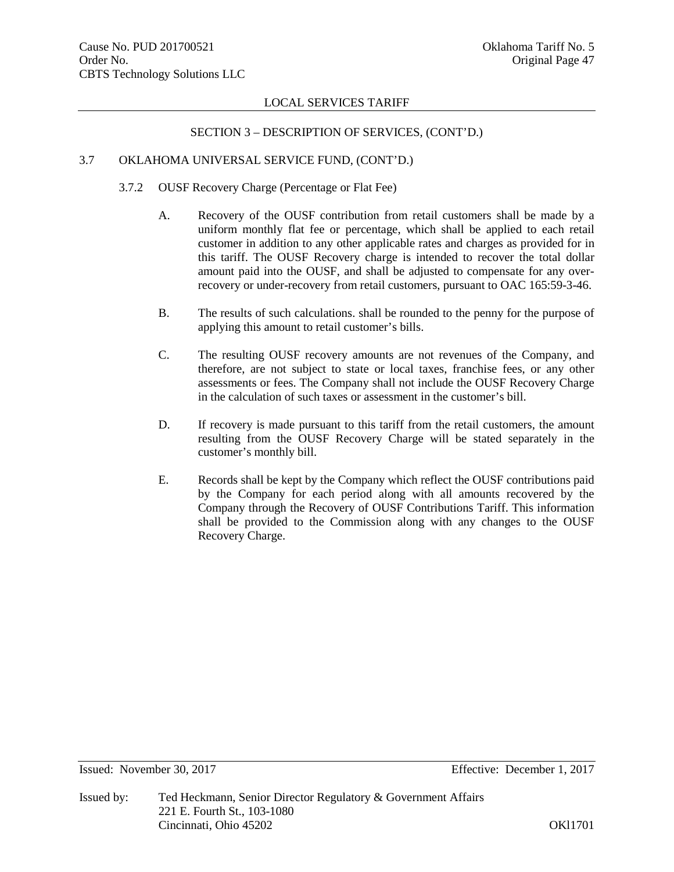#### SECTION 3 – DESCRIPTION OF SERVICES, (CONT'D.)

#### 3.7 OKLAHOMA UNIVERSAL SERVICE FUND, (CONT'D.)

- 3.7.2 OUSF Recovery Charge (Percentage or Flat Fee)
	- A. Recovery of the OUSF contribution from retail customers shall be made by a uniform monthly flat fee or percentage, which shall be applied to each retail customer in addition to any other applicable rates and charges as provided for in this tariff. The OUSF Recovery charge is intended to recover the total dollar amount paid into the OUSF, and shall be adjusted to compensate for any overrecovery or under-recovery from retail customers, pursuant to OAC 165:59-3-46.
	- B. The results of such calculations. shall be rounded to the penny for the purpose of applying this amount to retail customer's bills.
	- C. The resulting OUSF recovery amounts are not revenues of the Company, and therefore, are not subject to state or local taxes, franchise fees, or any other assessments or fees. The Company shall not include the OUSF Recovery Charge in the calculation of such taxes or assessment in the customer's bill.
	- D. If recovery is made pursuant to this tariff from the retail customers, the amount resulting from the OUSF Recovery Charge will be stated separately in the customer's monthly bill.
	- E. Records shall be kept by the Company which reflect the OUSF contributions paid by the Company for each period along with all amounts recovered by the Company through the Recovery of OUSF Contributions Tariff. This information shall be provided to the Commission along with any changes to the OUSF Recovery Charge.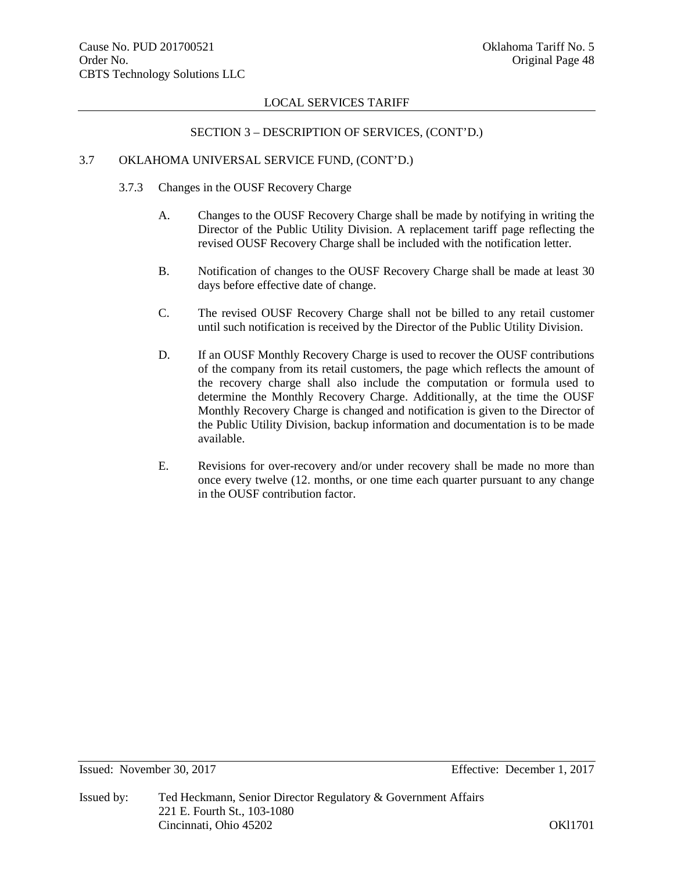#### SECTION 3 – DESCRIPTION OF SERVICES, (CONT'D.)

#### 3.7 OKLAHOMA UNIVERSAL SERVICE FUND, (CONT'D.)

- 3.7.3 Changes in the OUSF Recovery Charge
	- A. Changes to the OUSF Recovery Charge shall be made by notifying in writing the Director of the Public Utility Division. A replacement tariff page reflecting the revised OUSF Recovery Charge shall be included with the notification letter.
	- B. Notification of changes to the OUSF Recovery Charge shall be made at least 30 days before effective date of change.
	- C. The revised OUSF Recovery Charge shall not be billed to any retail customer until such notification is received by the Director of the Public Utility Division.
	- D. If an OUSF Monthly Recovery Charge is used to recover the OUSF contributions of the company from its retail customers, the page which reflects the amount of the recovery charge shall also include the computation or formula used to determine the Monthly Recovery Charge. Additionally, at the time the OUSF Monthly Recovery Charge is changed and notification is given to the Director of the Public Utility Division, backup information and documentation is to be made available.
	- E. Revisions for over-recovery and/or under recovery shall be made no more than once every twelve (12. months, or one time each quarter pursuant to any change in the OUSF contribution factor.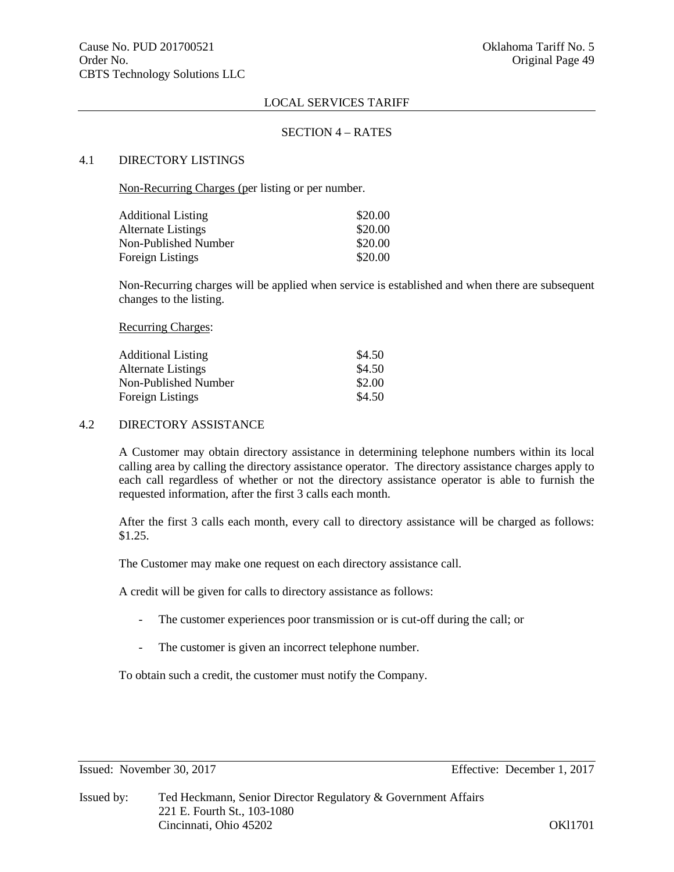#### SECTION 4 – RATES

#### 4.1 DIRECTORY LISTINGS

Non-Recurring Charges (per listing or per number.

| <b>Additional Listing</b> | \$20.00 |
|---------------------------|---------|
| Alternate Listings        | \$20.00 |
| Non-Published Number      | \$20.00 |
| Foreign Listings          | \$20.00 |

Non-Recurring charges will be applied when service is established and when there are subsequent changes to the listing.

Recurring Charges:

| <b>Additional Listing</b> | \$4.50 |
|---------------------------|--------|
| Alternate Listings        | \$4.50 |
| Non-Published Number      | \$2.00 |
| Foreign Listings          | \$4.50 |

# 4.2 DIRECTORY ASSISTANCE

A Customer may obtain directory assistance in determining telephone numbers within its local calling area by calling the directory assistance operator. The directory assistance charges apply to each call regardless of whether or not the directory assistance operator is able to furnish the requested information, after the first 3 calls each month.

After the first 3 calls each month, every call to directory assistance will be charged as follows: \$1.25.

The Customer may make one request on each directory assistance call.

A credit will be given for calls to directory assistance as follows:

- The customer experiences poor transmission or is cut-off during the call; or
- The customer is given an incorrect telephone number.

To obtain such a credit, the customer must notify the Company.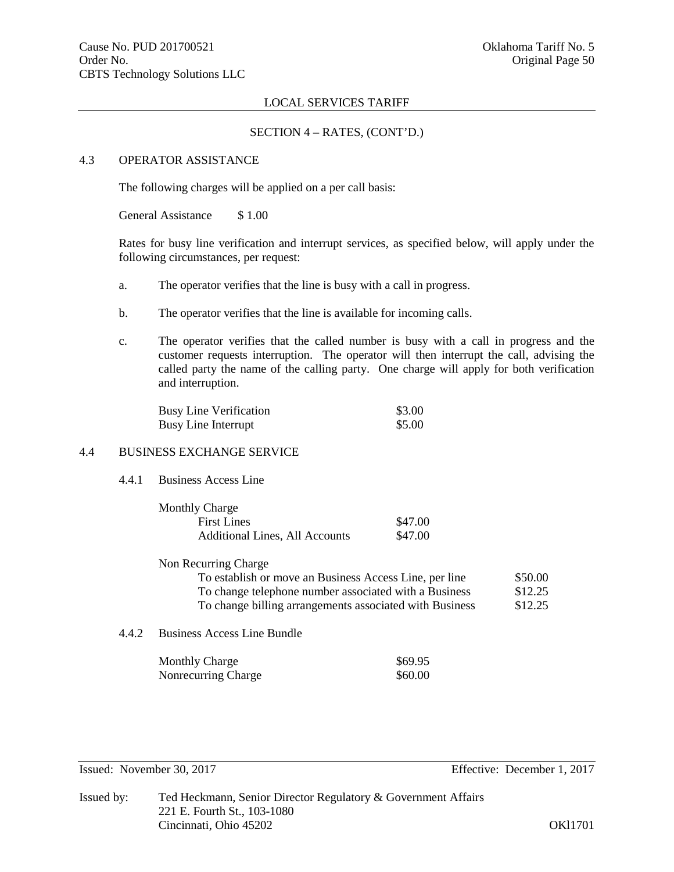# SECTION 4 – RATES, (CONT'D.)

#### 4.3 OPERATOR ASSISTANCE

The following charges will be applied on a per call basis:

General Assistance \$1.00

Rates for busy line verification and interrupt services, as specified below, will apply under the following circumstances, per request:

- a. The operator verifies that the line is busy with a call in progress.
- b. The operator verifies that the line is available for incoming calls.
- c. The operator verifies that the called number is busy with a call in progress and the customer requests interruption. The operator will then interrupt the call, advising the called party the name of the calling party. One charge will apply for both verification and interruption.

| <b>Busy Line Verification</b> | \$3.00 |
|-------------------------------|--------|
| <b>Busy Line Interrupt</b>    | \$5.00 |

# 4.4 BUSINESS EXCHANGE SERVICE

4.4.1 Business Access Line

| <b>Monthly Charge</b>                 |         |
|---------------------------------------|---------|
| <b>First Lines</b>                    | \$47.00 |
| <b>Additional Lines, All Accounts</b> | \$47.00 |

| Non Recurring Charge                                    |         |
|---------------------------------------------------------|---------|
| To establish or move an Business Access Line, per line  | \$50.00 |
| To change telephone number associated with a Business   | \$12.25 |
| To change billing arrangements associated with Business | \$12.25 |

4.4.2 Business Access Line Bundle

| <b>Monthly Charge</b> | \$69.95 |
|-----------------------|---------|
| Nonrecurring Charge   | \$60.00 |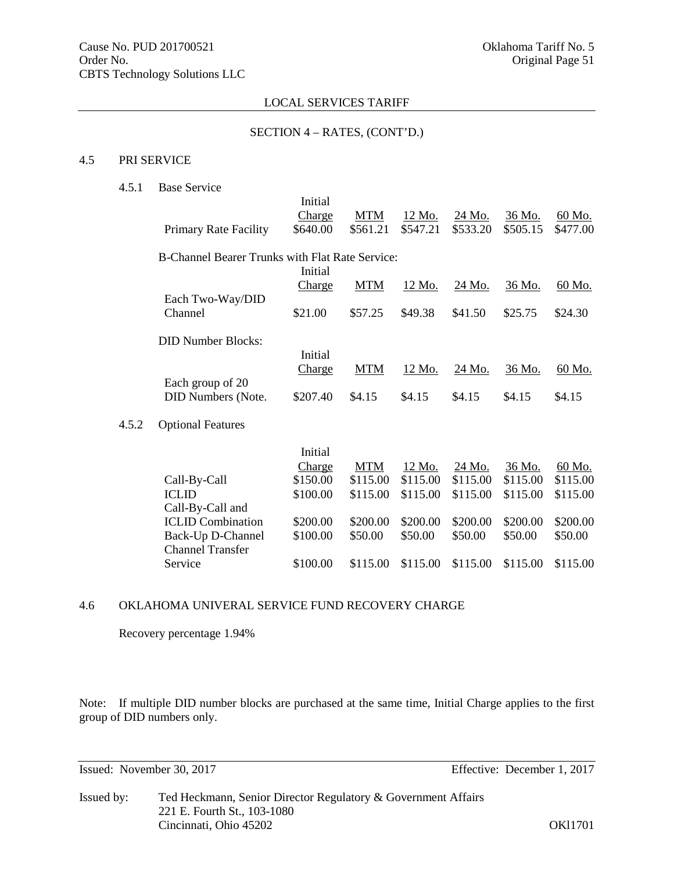#### SECTION 4 – RATES, (CONT'D.)

#### 4.5 PRI SERVICE

 $4.5.2$ 

# 4.5.1 Base Service

|                                                        | Initial       |            |          |               |               |               |
|--------------------------------------------------------|---------------|------------|----------|---------------|---------------|---------------|
|                                                        | <b>Charge</b> | <b>MTM</b> | 12 Mo.   | 24 Mo.        | 36 Mo.        | 60 Mo.        |
| <b>Primary Rate Facility</b>                           | \$640.00      | \$561.21   | \$547.21 | \$533.20      | \$505.15      | \$477.00      |
| <b>B-Channel Bearer Trunks with Flat Rate Service:</b> |               |            |          |               |               |               |
|                                                        | Initial       |            |          |               |               |               |
|                                                        | Charge        | <b>MTM</b> | 12 Mo.   | 24 Mo.        | <u>36 Mo.</u> | <u>60 Mo.</u> |
| Each Two-Way/DID                                       |               |            |          |               |               |               |
| Channel                                                | \$21.00       | \$57.25    | \$49.38  | \$41.50       | \$25.75       | \$24.30       |
|                                                        |               |            |          |               |               |               |
| <b>DID Number Blocks:</b>                              |               |            |          |               |               |               |
|                                                        | Initial       |            |          |               |               |               |
|                                                        | <b>Charge</b> | <b>MTM</b> | 12 Mo.   | <u>24 Mo.</u> | 36 Mo.        | <u>60 Mo.</u> |
| Each group of 20                                       |               |            |          |               |               |               |
| <b>DID Numbers (Note.</b>                              | \$207.40      | \$4.15     | \$4.15   | \$4.15        | \$4.15        | \$4.15        |
|                                                        |               |            |          |               |               |               |
| <b>Optional Features</b>                               |               |            |          |               |               |               |
|                                                        | Initial       |            |          |               |               |               |
|                                                        | <b>Charge</b> | <b>MTM</b> | 12 Mo.   | 24 Mo.        | 36 Mo.        | 60 Mo.        |
| Call-By-Call                                           | \$150.00      | \$115.00   | \$115.00 | \$115.00      | \$115.00      | \$115.00      |
| <b>ICLID</b>                                           | \$100.00      | \$115.00   | \$115.00 | \$115.00      | \$115.00      | \$115.00      |
| Call-By-Call and                                       |               |            |          |               |               |               |
| <b>ICLID</b> Combination                               | \$200.00      | \$200.00   | \$200.00 | \$200.00      | \$200.00      | \$200.00      |

Back-Up D-Channel \$100.00 \$50.00 \$50.00 \$50.00 \$50.00 \$50.00

\$100.00 \$115.00 \$115.00 \$115.00 \$115.00 \$115.00

# 4.6 OKLAHOMA UNIVERAL SERVICE FUND RECOVERY CHARGE

Recovery percentage 1.94%

Channel Transfer

Note: If multiple DID number blocks are purchased at the same time, Initial Charge applies to the first group of DID numbers only.

Issued: November 30, 2017 Effective: December 1, 2017

Issued by: Ted Heckmann, Senior Director Regulatory & Government Affairs 221 E. Fourth St., 103-1080 Cincinnati, Ohio 45202 OKl1701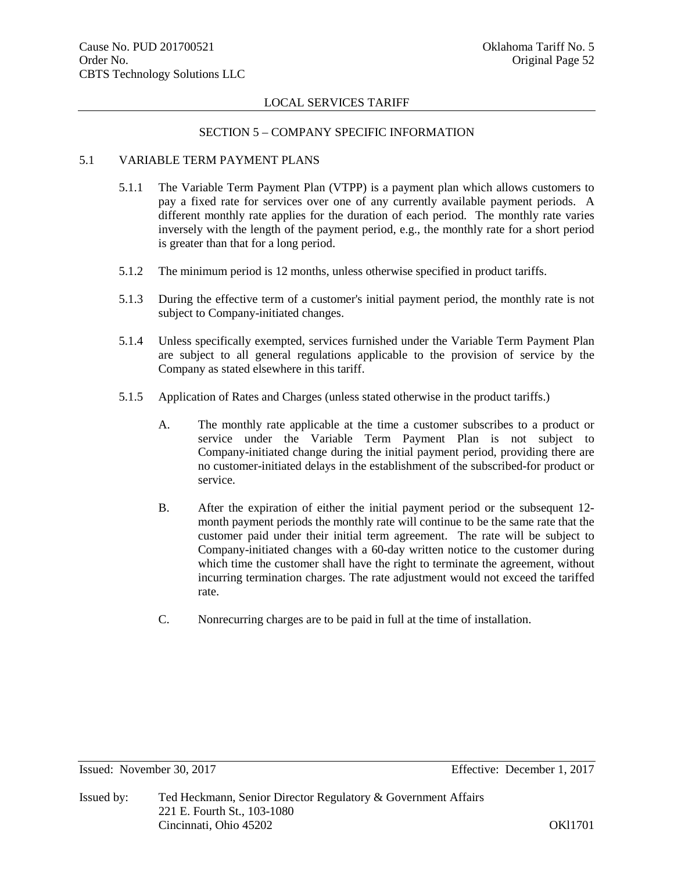#### SECTION 5 – COMPANY SPECIFIC INFORMATION

# 5.1 VARIABLE TERM PAYMENT PLANS

- 5.1.1 The Variable Term Payment Plan (VTPP) is a payment plan which allows customers to pay a fixed rate for services over one of any currently available payment periods. A different monthly rate applies for the duration of each period. The monthly rate varies inversely with the length of the payment period, e.g., the monthly rate for a short period is greater than that for a long period.
- 5.1.2 The minimum period is 12 months, unless otherwise specified in product tariffs.
- 5.1.3 During the effective term of a customer's initial payment period, the monthly rate is not subject to Company-initiated changes.
- 5.1.4 Unless specifically exempted, services furnished under the Variable Term Payment Plan are subject to all general regulations applicable to the provision of service by the Company as stated elsewhere in this tariff.
- 5.1.5 Application of Rates and Charges (unless stated otherwise in the product tariffs.)
	- A. The monthly rate applicable at the time a customer subscribes to a product or service under the Variable Term Payment Plan is not subject to Company-initiated change during the initial payment period, providing there are no customer-initiated delays in the establishment of the subscribed-for product or service.
	- B. After the expiration of either the initial payment period or the subsequent 12 month payment periods the monthly rate will continue to be the same rate that the customer paid under their initial term agreement. The rate will be subject to Company-initiated changes with a 60-day written notice to the customer during which time the customer shall have the right to terminate the agreement, without incurring termination charges. The rate adjustment would not exceed the tariffed rate.
	- C. Nonrecurring charges are to be paid in full at the time of installation.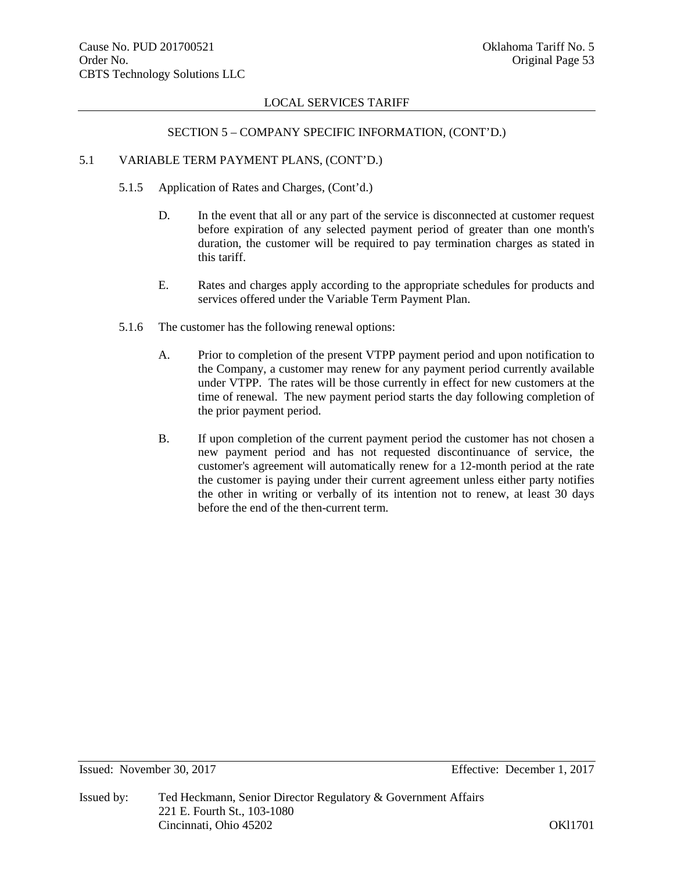#### SECTION 5 – COMPANY SPECIFIC INFORMATION, (CONT'D.)

# 5.1 VARIABLE TERM PAYMENT PLANS, (CONT'D.)

- 5.1.5 Application of Rates and Charges, (Cont'd.)
	- D. In the event that all or any part of the service is disconnected at customer request before expiration of any selected payment period of greater than one month's duration, the customer will be required to pay termination charges as stated in this tariff.
	- E. Rates and charges apply according to the appropriate schedules for products and services offered under the Variable Term Payment Plan.
- 5.1.6 The customer has the following renewal options:
	- A. Prior to completion of the present VTPP payment period and upon notification to the Company, a customer may renew for any payment period currently available under VTPP. The rates will be those currently in effect for new customers at the time of renewal. The new payment period starts the day following completion of the prior payment period.
	- B. If upon completion of the current payment period the customer has not chosen a new payment period and has not requested discontinuance of service, the customer's agreement will automatically renew for a 12-month period at the rate the customer is paying under their current agreement unless either party notifies the other in writing or verbally of its intention not to renew, at least 30 days before the end of the then-current term.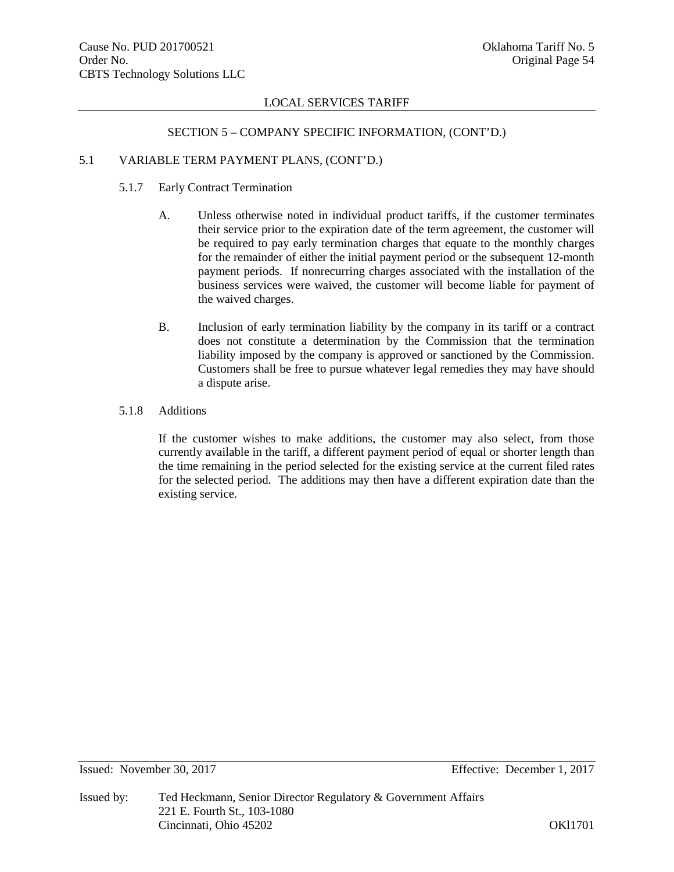#### SECTION 5 – COMPANY SPECIFIC INFORMATION, (CONT'D.)

#### 5.1 VARIABLE TERM PAYMENT PLANS, (CONT'D.)

# 5.1.7 Early Contract Termination

- A. Unless otherwise noted in individual product tariffs, if the customer terminates their service prior to the expiration date of the term agreement, the customer will be required to pay early termination charges that equate to the monthly charges for the remainder of either the initial payment period or the subsequent 12-month payment periods. If nonrecurring charges associated with the installation of the business services were waived, the customer will become liable for payment of the waived charges.
- B. Inclusion of early termination liability by the company in its tariff or a contract does not constitute a determination by the Commission that the termination liability imposed by the company is approved or sanctioned by the Commission. Customers shall be free to pursue whatever legal remedies they may have should a dispute arise.

#### 5.1.8 Additions

If the customer wishes to make additions, the customer may also select, from those currently available in the tariff, a different payment period of equal or shorter length than the time remaining in the period selected for the existing service at the current filed rates for the selected period. The additions may then have a different expiration date than the existing service.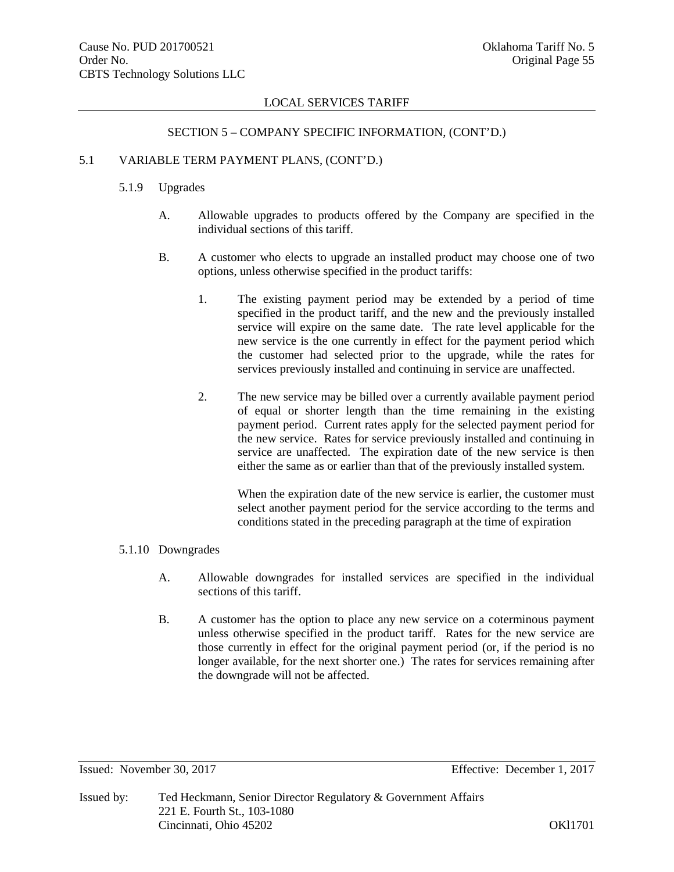#### SECTION 5 – COMPANY SPECIFIC INFORMATION, (CONT'D.)

# 5.1 VARIABLE TERM PAYMENT PLANS, (CONT'D.)

# 5.1.9 Upgrades

- A. Allowable upgrades to products offered by the Company are specified in the individual sections of this tariff.
- B. A customer who elects to upgrade an installed product may choose one of two options, unless otherwise specified in the product tariffs:
	- 1. The existing payment period may be extended by a period of time specified in the product tariff, and the new and the previously installed service will expire on the same date. The rate level applicable for the new service is the one currently in effect for the payment period which the customer had selected prior to the upgrade, while the rates for services previously installed and continuing in service are unaffected.
	- 2. The new service may be billed over a currently available payment period of equal or shorter length than the time remaining in the existing payment period. Current rates apply for the selected payment period for the new service. Rates for service previously installed and continuing in service are unaffected. The expiration date of the new service is then either the same as or earlier than that of the previously installed system.

When the expiration date of the new service is earlier, the customer must select another payment period for the service according to the terms and conditions stated in the preceding paragraph at the time of expiration

# 5.1.10 Downgrades

- A. Allowable downgrades for installed services are specified in the individual sections of this tariff.
- B. A customer has the option to place any new service on a coterminous payment unless otherwise specified in the product tariff. Rates for the new service are those currently in effect for the original payment period (or, if the period is no longer available, for the next shorter one.) The rates for services remaining after the downgrade will not be affected.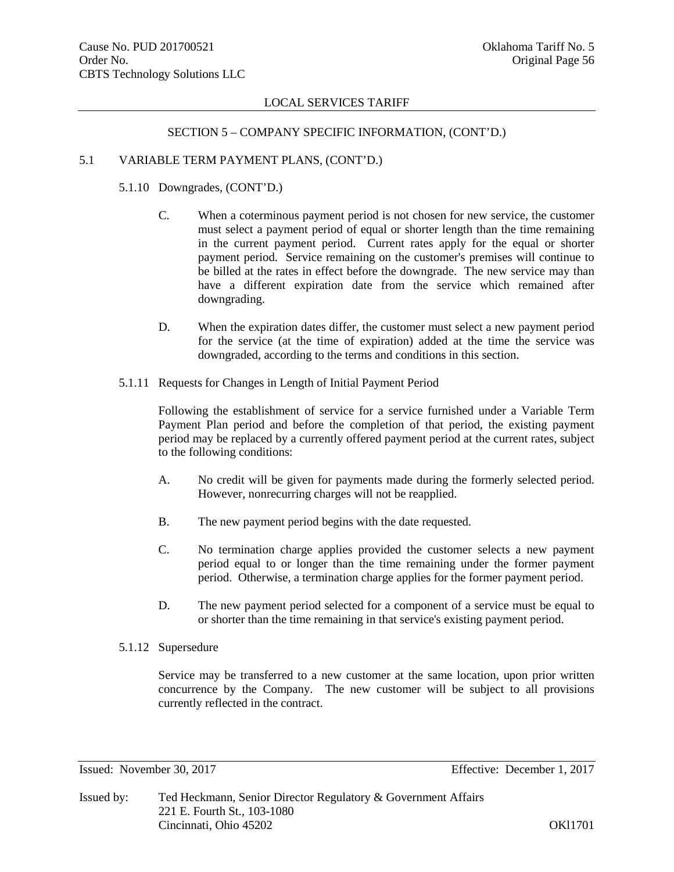# SECTION 5 – COMPANY SPECIFIC INFORMATION, (CONT'D.)

# 5.1 VARIABLE TERM PAYMENT PLANS, (CONT'D.)

5.1.10 Downgrades, (CONT'D.)

- C. When a coterminous payment period is not chosen for new service, the customer must select a payment period of equal or shorter length than the time remaining in the current payment period. Current rates apply for the equal or shorter payment period. Service remaining on the customer's premises will continue to be billed at the rates in effect before the downgrade. The new service may than have a different expiration date from the service which remained after downgrading.
- D. When the expiration dates differ, the customer must select a new payment period for the service (at the time of expiration) added at the time the service was downgraded, according to the terms and conditions in this section.
- 5.1.11 Requests for Changes in Length of Initial Payment Period

Following the establishment of service for a service furnished under a Variable Term Payment Plan period and before the completion of that period, the existing payment period may be replaced by a currently offered payment period at the current rates, subject to the following conditions:

- A. No credit will be given for payments made during the formerly selected period. However, nonrecurring charges will not be reapplied.
- B. The new payment period begins with the date requested.
- C. No termination charge applies provided the customer selects a new payment period equal to or longer than the time remaining under the former payment period. Otherwise, a termination charge applies for the former payment period.
- D. The new payment period selected for a component of a service must be equal to or shorter than the time remaining in that service's existing payment period.

# 5.1.12 Supersedure

Service may be transferred to a new customer at the same location, upon prior written concurrence by the Company. The new customer will be subject to all provisions currently reflected in the contract.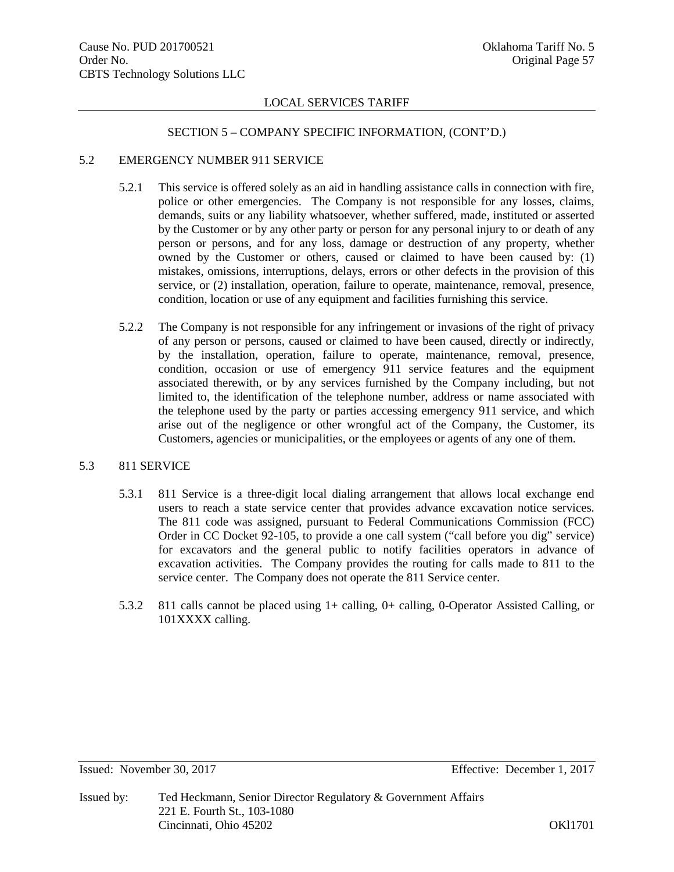### SECTION 5 – COMPANY SPECIFIC INFORMATION, (CONT'D.)

# 5.2 EMERGENCY NUMBER 911 SERVICE

- 5.2.1 This service is offered solely as an aid in handling assistance calls in connection with fire, police or other emergencies. The Company is not responsible for any losses, claims, demands, suits or any liability whatsoever, whether suffered, made, instituted or asserted by the Customer or by any other party or person for any personal injury to or death of any person or persons, and for any loss, damage or destruction of any property, whether owned by the Customer or others, caused or claimed to have been caused by: (1) mistakes, omissions, interruptions, delays, errors or other defects in the provision of this service, or (2) installation, operation, failure to operate, maintenance, removal, presence, condition, location or use of any equipment and facilities furnishing this service.
- 5.2.2 The Company is not responsible for any infringement or invasions of the right of privacy of any person or persons, caused or claimed to have been caused, directly or indirectly, by the installation, operation, failure to operate, maintenance, removal, presence, condition, occasion or use of emergency 911 service features and the equipment associated therewith, or by any services furnished by the Company including, but not limited to, the identification of the telephone number, address or name associated with the telephone used by the party or parties accessing emergency 911 service, and which arise out of the negligence or other wrongful act of the Company, the Customer, its Customers, agencies or municipalities, or the employees or agents of any one of them.

# 5.3 811 SERVICE

- 5.3.1 811 Service is a three-digit local dialing arrangement that allows local exchange end users to reach a state service center that provides advance excavation notice services. The 811 code was assigned, pursuant to Federal Communications Commission (FCC) Order in CC Docket 92-105, to provide a one call system ("call before you dig" service) for excavators and the general public to notify facilities operators in advance of excavation activities. The Company provides the routing for calls made to 811 to the service center. The Company does not operate the 811 Service center.
- 5.3.2 811 calls cannot be placed using 1+ calling, 0+ calling, 0-Operator Assisted Calling, or 101XXXX calling.